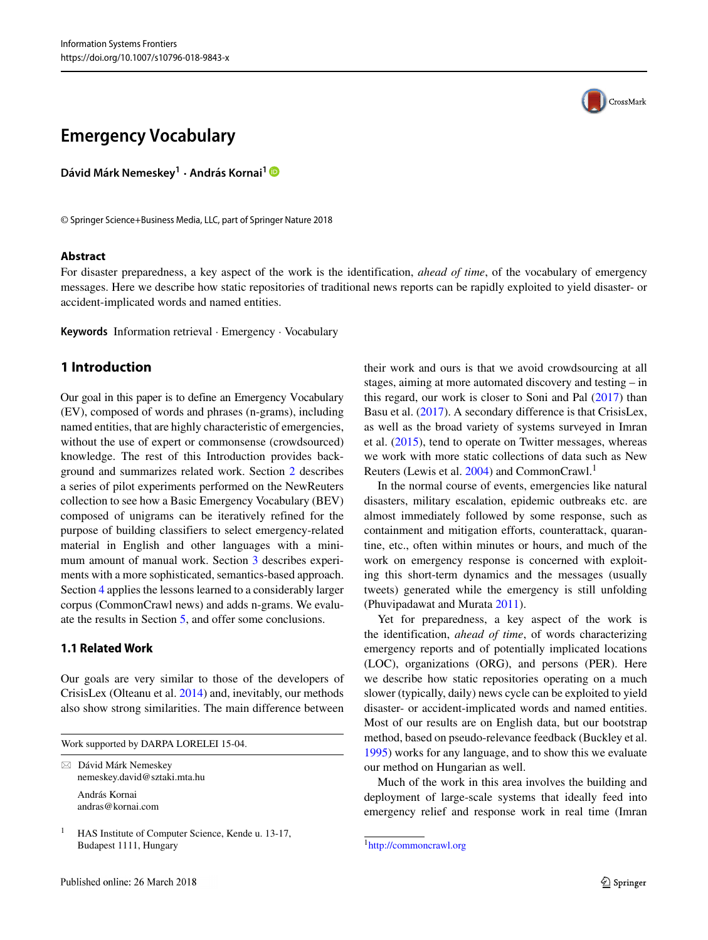

# **Emergency Vocabulary**

**David M ´ ark Nemeskey ´ <sup>1</sup> · Andras Kornai ´ <sup>1</sup>**

© Springer Science+Business Media, LLC, part of Springer Nature 2018

#### **Abstract**

For disaster preparedness, a key aspect of the work is the identification, *ahead of time*, of the vocabulary of emergency messages. Here we describe how static repositories of traditional news reports can be rapidly exploited to yield disaster- or accident-implicated words and named entities.

**Keywords** Information retrieval · Emergency · Vocabulary

### **1 Introduction**

Our goal in this paper is to define an Emergency Vocabulary (EV), composed of words and phrases (n-grams), including named entities, that are highly characteristic of emergencies, without the use of expert or commonsense (crowdsourced) knowledge. The rest of this Introduction provides background and summarizes related work. Section [2](#page-1-0) describes a series of pilot experiments performed on the NewReuters collection to see how a Basic Emergency Vocabulary (BEV) composed of unigrams can be iteratively refined for the purpose of building classifiers to select emergency-related material in English and other languages with a minimum amount of manual work. Section [3](#page-3-0) describes experiments with a more sophisticated, semantics-based approach. Section [4](#page-5-0) applies the lessons learned to a considerably larger corpus (CommonCrawl news) and adds n-grams. We evaluate the results in Section [5,](#page-8-0) and offer some conclusions.

### **1.1 Related Work**

Our goals are very similar to those of the developers of CrisisLex (Olteanu et al. [2014\)](#page-13-0) and, inevitably, our methods also show strong similarities. The main difference between

| Work supported by DARPA LORELEI 15-04. |  |
|----------------------------------------|--|
|----------------------------------------|--|

 $\boxtimes$  Dávid Márk Nemeskey [nemeskey.david@sztaki.mta.hu](mailto:nemeskey.david@sztaki.mta.hu) András Kornai

[andras@kornai.com](mailto:andras@kornai.com)

<sup>1</sup> HAS Institute of Computer Science, Kende u. 13-17, Budapest 1111, Hungary

their work and ours is that we avoid crowdsourcing at all stages, aiming at more automated discovery and testing – in this regard, our work is closer to Soni and Pal [\(2017\)](#page-14-0) than Basu et al. [\(2017\)](#page-13-1). A secondary difference is that CrisisLex, as well as the broad variety of systems surveyed in Imran et al. [\(2015\)](#page-13-2), tend to operate on Twitter messages, whereas we work with more static collections of data such as New Reuters (Lewis et al. [2004\)](#page-13-3) and CommonCrawl.<sup>1</sup>

In the normal course of events, emergencies like natural disasters, military escalation, epidemic outbreaks etc. are almost immediately followed by some response, such as containment and mitigation efforts, counterattack, quarantine, etc., often within minutes or hours, and much of the work on emergency response is concerned with exploiting this short-term dynamics and the messages (usually tweets) generated while the emergency is still unfolding (Phuvipadawat and Murata [2011\)](#page-13-4).

Yet for preparedness, a key aspect of the work is the identification, *ahead of time*, of words characterizing emergency reports and of potentially implicated locations (LOC), organizations (ORG), and persons (PER). Here we describe how static repositories operating on a much slower (typically, daily) news cycle can be exploited to yield disaster- or accident-implicated words and named entities. Most of our results are on English data, but our bootstrap method, based on pseudo-relevance feedback (Buckley et al. [1995\)](#page-13-5) works for any language, and to show this we evaluate our method on Hungarian as well.

Much of the work in this area involves the building and deployment of large-scale systems that ideally feed into emergency relief and response work in real time (Imran

[<sup>1</sup>http://commoncrawl.org](http://commoncrawl.org)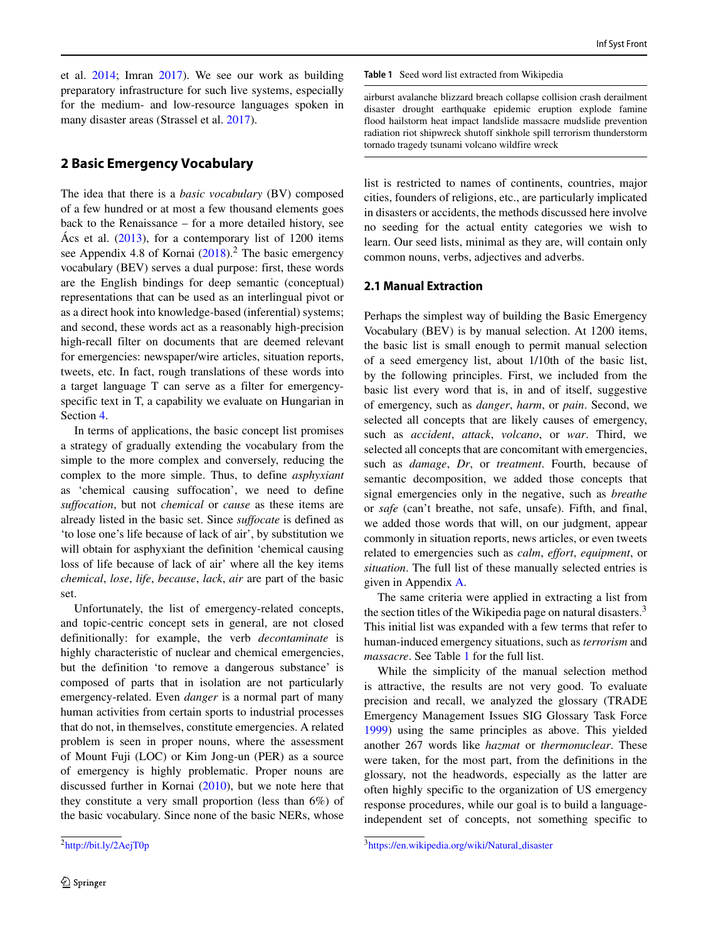et al. [2014;](#page-13-6) Imran [2017\)](#page-13-7). We see our work as building preparatory infrastructure for such live systems, especially for the medium- and low-resource languages spoken in many disaster areas (Strassel et al. [2017\)](#page-14-1).

# <span id="page-1-0"></span>**2 Basic Emergency Vocabulary**

The idea that there is a *basic vocabulary* (BV) composed of a few hundred or at most a few thousand elements goes back to the Renaissance – for a more detailed history, see Ács et al.  $(2013)$  $(2013)$ , for a contemporary list of 1200 items see Appendix 4.8 of Kornai  $(2018)^2$  $(2018)^2$ . The basic emergency vocabulary (BEV) serves a dual purpose: first, these words are the English bindings for deep semantic (conceptual) representations that can be used as an interlingual pivot or as a direct hook into knowledge-based (inferential) systems; and second, these words act as a reasonably high-precision high-recall filter on documents that are deemed relevant for emergencies: newspaper/wire articles, situation reports, tweets, etc. In fact, rough translations of these words into a target language T can serve as a filter for emergencyspecific text in T, a capability we evaluate on Hungarian in Section [4.](#page-5-0)

In terms of applications, the basic concept list promises a strategy of gradually extending the vocabulary from the simple to the more complex and conversely, reducing the complex to the more simple. Thus, to define *asphyxiant* as 'chemical causing suffocation', we need to define *suffocation*, but not *chemical* or *cause* as these items are already listed in the basic set. Since *suffocate* is defined as 'to lose one's life because of lack of air', by substitution we will obtain for asphyxiant the definition 'chemical causing loss of life because of lack of air' where all the key items *chemical*, *lose*, *life*, *because*, *lack*, *air* are part of the basic set.

Unfortunately, the list of emergency-related concepts, and topic-centric concept sets in general, are not closed definitionally: for example, the verb *decontaminate* is highly characteristic of nuclear and chemical emergencies, but the definition 'to remove a dangerous substance' is composed of parts that in isolation are not particularly emergency-related. Even *danger* is a normal part of many human activities from certain sports to industrial processes that do not, in themselves, constitute emergencies. A related problem is seen in proper nouns, where the assessment of Mount Fuji (LOC) or Kim Jong-un (PER) as a source of emergency is highly problematic. Proper nouns are discussed further in Kornai [\(2010\)](#page-13-10), but we note here that they constitute a very small proportion (less than 6%) of the basic vocabulary. Since none of the basic NERs, whose

<span id="page-1-1"></span>**Table 1** Seed word list extracted from Wikipedia

airburst avalanche blizzard breach collapse collision crash derailment disaster drought earthquake epidemic eruption explode famine flood hailstorm heat impact landslide massacre mudslide prevention radiation riot shipwreck shutoff sinkhole spill terrorism thunderstorm tornado tragedy tsunami volcano wildfire wreck

list is restricted to names of continents, countries, major cities, founders of religions, etc., are particularly implicated in disasters or accidents, the methods discussed here involve no seeding for the actual entity categories we wish to learn. Our seed lists, minimal as they are, will contain only common nouns, verbs, adjectives and adverbs.

### <span id="page-1-2"></span>**2.1 Manual Extraction**

Perhaps the simplest way of building the Basic Emergency Vocabulary (BEV) is by manual selection. At 1200 items, the basic list is small enough to permit manual selection of a seed emergency list, about 1/10th of the basic list, by the following principles. First, we included from the basic list every word that is, in and of itself, suggestive of emergency, such as *danger*, *harm*, or *pain*. Second, we selected all concepts that are likely causes of emergency, such as *accident*, *attack*, *volcano*, or *war*. Third, we selected all concepts that are concomitant with emergencies, such as *damage*, *Dr*, or *treatment*. Fourth, because of semantic decomposition, we added those concepts that signal emergencies only in the negative, such as *breathe* or *safe* (can't breathe, not safe, unsafe). Fifth, and final, we added those words that will, on our judgment, appear commonly in situation reports, news articles, or even tweets related to emergencies such as *calm*, *effort*, *equipment*, or *situation*. The full list of these manually selected entries is given in Appendix [A.](#page-11-0)

The same criteria were applied in extracting a list from the section titles of the Wikipedia page on natural disasters.<sup>3</sup> This initial list was expanded with a few terms that refer to human-induced emergency situations, such as *terrorism* and *massacre*. See Table [1](#page-1-1) for the full list.

While the simplicity of the manual selection method is attractive, the results are not very good. To evaluate precision and recall, we analyzed the glossary (TRADE Emergency Management Issues SIG Glossary Task Force [1999\)](#page-14-2) using the same principles as above. This yielded another 267 words like *hazmat* or *thermonuclear*. These were taken, for the most part, from the definitions in the glossary, not the headwords, especially as the latter are often highly specific to the organization of US emergency response procedures, while our goal is to build a languageindependent set of concepts, not something specific to

[<sup>2</sup>http://bit.ly/2AejT0p](http://bit.ly/2AejT0p)

[<sup>3</sup>https://en.wikipedia.org/wiki/Natural](https://en.wikipedia.org/wiki/Natural_disaster)\_disaster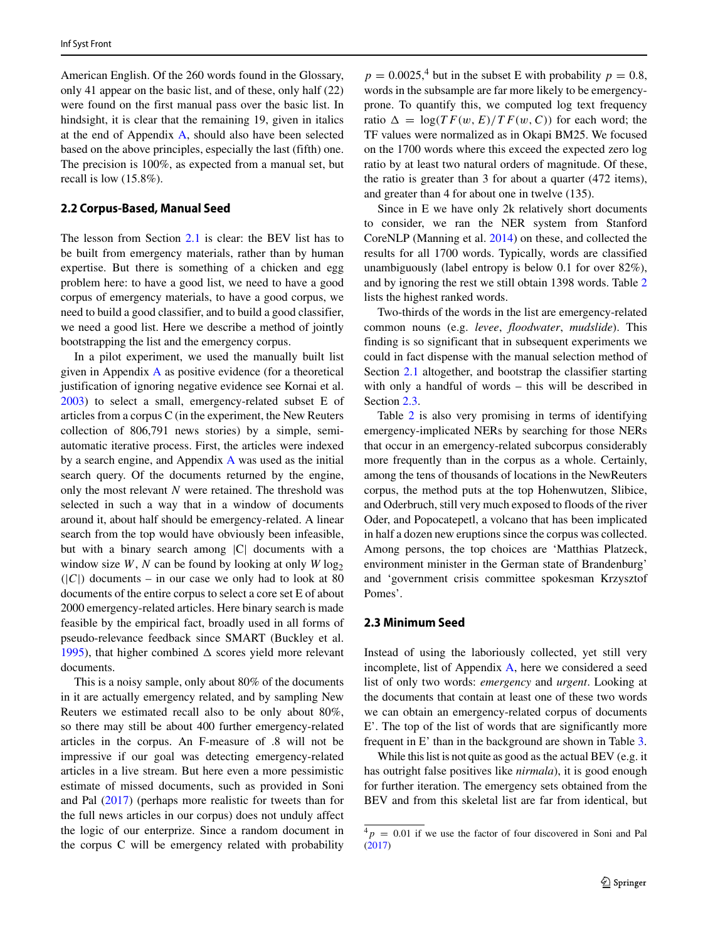American English. Of the 260 words found in the Glossary, only 41 appear on the basic list, and of these, only half (22) were found on the first manual pass over the basic list. In hindsight, it is clear that the remaining 19, given in italics at the end of Appendix [A,](#page-11-0) should also have been selected based on the above principles, especially the last (fifth) one. The precision is 100%, as expected from a manual set, but recall is low (15.8%).

#### <span id="page-2-1"></span>**2.2 Corpus-Based, Manual Seed**

The lesson from Section [2.1](#page-1-2) is clear: the BEV list has to be built from emergency materials, rather than by human expertise. But there is something of a chicken and egg problem here: to have a good list, we need to have a good corpus of emergency materials, to have a good corpus, we need to build a good classifier, and to build a good classifier, we need a good list. Here we describe a method of jointly bootstrapping the list and the emergency corpus.

In a pilot experiment, we used the manually built list given in [A](#page-11-0)ppendix  $\bf{A}$  as positive evidence (for a theoretical justification of ignoring negative evidence see Kornai et al. [2003\)](#page-13-11) to select a small, emergency-related subset E of articles from a corpus C (in the experiment, the New Reuters collection of 806,791 news stories) by a simple, semiautomatic iterative process. First, the articles were indexed by a search engine, and Appendix [A](#page-11-0) was used as the initial search query. Of the documents returned by the engine, only the most relevant *N* were retained. The threshold was selected in such a way that in a window of documents around it, about half should be emergency-related. A linear search from the top would have obviously been infeasible, but with a binary search among  $|C|$  documents with a window size *W*, *N* can be found by looking at only  $W \log_2 2$  $(|C|)$  documents – in our case we only had to look at 80 documents of the entire corpus to select a core set E of about 2000 emergency-related articles. Here binary search is made feasible by the empirical fact, broadly used in all forms of pseudo-relevance feedback since SMART (Buckley et al. [1995\)](#page-13-5), that higher combined  $\Delta$  scores yield more relevant documents.

This is a noisy sample, only about 80% of the documents in it are actually emergency related, and by sampling New Reuters we estimated recall also to be only about 80%, so there may still be about 400 further emergency-related articles in the corpus. An F-measure of .8 will not be impressive if our goal was detecting emergency-related articles in a live stream. But here even a more pessimistic estimate of missed documents, such as provided in Soni and Pal [\(2017\)](#page-14-0) (perhaps more realistic for tweets than for the full news articles in our corpus) does not unduly affect the logic of our enterprize. Since a random document in the corpus C will be emergency related with probability

 $p = 0.0025$ ,<sup>4</sup> but in the subset E with probability  $p = 0.8$ , words in the subsample are far more likely to be emergencyprone. To quantify this, we computed log text frequency ratio  $\Delta = \log(TF(w, E)/TF(w, C))$  for each word; the TF values were normalized as in Okapi BM25. We focused on the 1700 words where this exceed the expected zero log ratio by at least two natural orders of magnitude. Of these, the ratio is greater than 3 for about a quarter (472 items), and greater than 4 for about one in twelve (135).

Since in E we have only 2k relatively short documents to consider, we ran the NER system from Stanford CoreNLP (Manning et al. [2014\)](#page-13-12) on these, and collected the results for all 1700 words. Typically, words are classified unambiguously (label entropy is below 0.1 for over 82%), and by ignoring the rest we still obtain 1398 words. Table [2](#page-3-1) lists the highest ranked words.

Two-thirds of the words in the list are emergency-related common nouns (e.g. *levee*, *floodwater*, *mudslide*). This finding is so significant that in subsequent experiments we could in fact dispense with the manual selection method of Section [2.1](#page-1-2) altogether, and bootstrap the classifier starting with only a handful of words – this will be described in Section [2.3.](#page-2-0)

Table [2](#page-3-1) is also very promising in terms of identifying emergency-implicated NERs by searching for those NERs that occur in an emergency-related subcorpus considerably more frequently than in the corpus as a whole. Certainly, among the tens of thousands of locations in the NewReuters corpus, the method puts at the top Hohenwutzen, Slibice, and Oderbruch, still very much exposed to floods of the river Oder, and Popocatepetl, a volcano that has been implicated in half a dozen new eruptions since the corpus was collected. Among persons, the top choices are 'Matthias Platzeck, environment minister in the German state of Brandenburg' and 'government crisis committee spokesman Krzysztof Pomes'.

#### <span id="page-2-0"></span>**2.3 Minimum Seed**

Instead of using the laboriously collected, yet still very incomplete, list of Appendix  $\overline{A}$ , here we considered a seed list of only two words: *emergency* and *urgent*. Looking at the documents that contain at least one of these two words we can obtain an emergency-related corpus of documents E'. The top of the list of words that are significantly more frequent in E' than in the background are shown in Table [3.](#page-3-2)

While this list is not quite as good as the actual BEV (e.g. it has outright false positives like *nirmala*), it is good enough for further iteration. The emergency sets obtained from the BEV and from this skeletal list are far from identical, but

 $\frac{4p}{p} = 0.01$  if we use the factor of four discovered in Soni and Pal [\(2017\)](#page-14-0)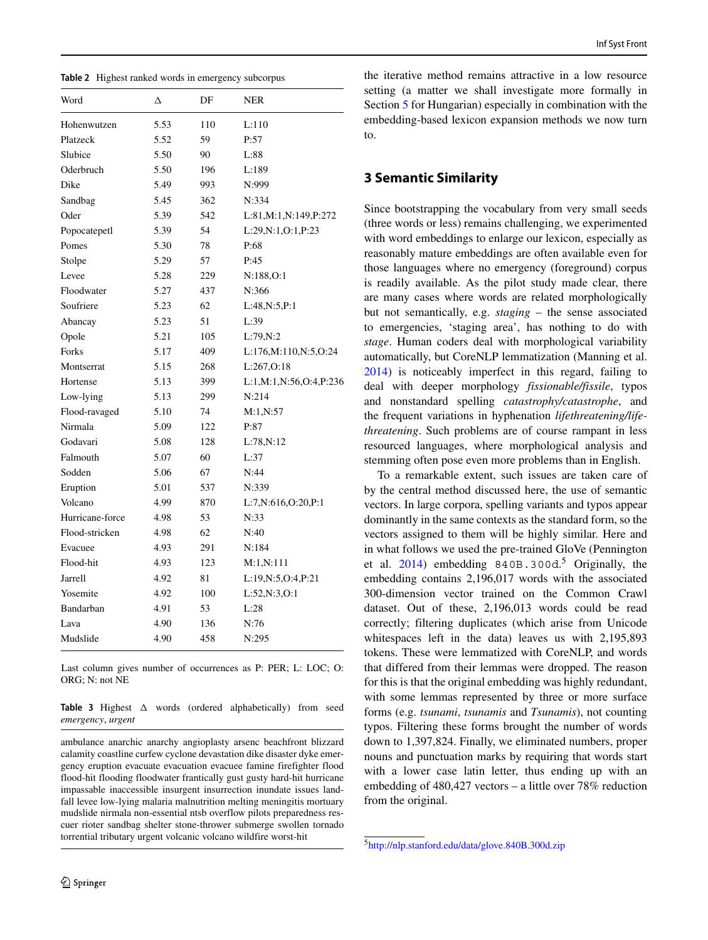<span id="page-3-1"></span>**Table 2** Highest ranked words in emergency subcorpus

| Word            | Δ    | DF  | <b>NER</b>              |
|-----------------|------|-----|-------------------------|
| Hohenwutzen     | 5.53 | 110 | L:110                   |
| Platzeck        | 5.52 | 59  | P:57                    |
| Slubice         | 5.50 | 90  | L:88                    |
| Oderbruch       | 5.50 | 196 | L:189                   |
| Dike            | 5.49 | 993 | N:999                   |
| Sandbag         | 5.45 | 362 | N:334                   |
| Oder            | 5.39 | 542 | L:81, M:1, N:149, P:272 |
| Popocatepetl    | 5.39 | 54  | L:29,N:1,O:1,P:23       |
| Pomes           | 5.30 | 78  | P:68                    |
| Stolpe          | 5.29 | 57  | P:45                    |
| Levee           | 5.28 | 229 | N:188, O:1              |
| Floodwater      | 5.27 | 437 | N:366                   |
| Soufriere       | 5.23 | 62  | L:48,N:5,P:1            |
| Abancay         | 5.23 | 51  | L:39                    |
| Opole           | 5.21 | 105 | L:79.N:2                |
| Forks           | 5.17 | 409 | L:176,M:110,N:5,O:24    |
| Montserrat      | 5.15 | 268 | L:267, O:18             |
| Hortense        | 5.13 | 399 | L:1,M:1,N:56,O:4,P:236  |
| Low-lying       | 5.13 | 299 | N:214                   |
| Flood-ravaged   | 5.10 | 74  | M:1,N:57                |
| Nirmala         | 5.09 | 122 | P:87                    |
| Godavari        | 5.08 | 128 | L:78,N:12               |
| Falmouth        | 5.07 | 60  | L:37                    |
| Sodden          | 5.06 | 67  | N:44                    |
| Eruption        | 5.01 | 537 | N:339                   |
| Volcano         | 4.99 | 870 | L:7, N:616, O: 20, P:1  |
| Hurricane-force | 4.98 | 53  | N:33                    |
| Flood-stricken  | 4.98 | 62  | N:40                    |
| Evacuee         | 4.93 | 291 | N:184                   |
| Flood-hit       | 4.93 | 123 | M:1,N:111               |
| Jarrell         | 4.92 | 81  | L:19, N:5, O:4, P:21    |
| Yosemite        | 4.92 | 100 | L:52,N:3,O:1            |
| Bandarban       | 4.91 | 53  | L:28                    |
| Lava            | 4.90 | 136 | N:76                    |
| Mudslide        | 4.90 | 458 | N:295                   |

Last column gives number of occurrences as P: PER; L: LOC; O: ORG; N: not NE

<span id="page-3-2"></span>Table 3 Highest  $\triangle$  words (ordered alphabetically) from seed *emergency*, *urgent*

ambulance anarchic anarchy angioplasty arsenc beachfront blizzard calamity coastline curfew cyclone devastation dike disaster dyke emergency eruption evacuate evacuation evacuee famine firefighter flood flood-hit flooding floodwater frantically gust gusty hard-hit hurricane impassable inaccessible insurgent insurrection inundate issues landfall levee low-lying malaria malnutrition melting meningitis mortuary mudslide nirmala non-essential ntsb overflow pilots preparedness rescuer rioter sandbag shelter stone-thrower submerge swollen tornado torrential tributary urgent volcanic volcano wildfire worst-hit

the iterative method remains attractive in a low resource setting (a matter we shall investigate more formally in Section [5](#page-8-0) for Hungarian) especially in combination with the embedding-based lexicon expansion methods we now turn to.

### <span id="page-3-0"></span>**3 Semantic Similarity**

Since bootstrapping the vocabulary from very small seeds (three words or less) remains challenging, we experimented with word embeddings to enlarge our lexicon, especially as reasonably mature embeddings are often available even for those languages where no emergency (foreground) corpus is readily available. As the pilot study made clear, there are many cases where words are related morphologically but not semantically, e.g. *staging* – the sense associated to emergencies, 'staging area', has nothing to do with *stage*. Human coders deal with morphological variability automatically, but CoreNLP lemmatization (Manning et al. [2014\)](#page-13-12) is noticeably imperfect in this regard, failing to deal with deeper morphology *fissionable/fissile*, typos and nonstandard spelling *catastrophy/catastrophe*, and the frequent variations in hyphenation *lifethreatening/lifethreatening*. Such problems are of course rampant in less resourced languages, where morphological analysis and stemming often pose even more problems than in English.

To a remarkable extent, such issues are taken care of by the central method discussed here, the use of semantic vectors. In large corpora, spelling variants and typos appear dominantly in the same contexts as the standard form, so the vectors assigned to them will be highly similar. Here and in what follows we used the pre-trained GloVe (Pennington et al.  $2014$ ) embedding 840B.300d.<sup>5</sup> Originally, the embedding contains 2,196,017 words with the associated 300-dimension vector trained on the Common Crawl dataset. Out of these, 2,196,013 words could be read correctly; filtering duplicates (which arise from Unicode whitespaces left in the data) leaves us with 2,195,893 tokens. These were lemmatized with CoreNLP, and words that differed from their lemmas were dropped. The reason for this is that the original embedding was highly redundant, with some lemmas represented by three or more surface forms (e.g. *tsunami*, *tsunamis* and *Tsunamis*), not counting typos. Filtering these forms brought the number of words down to 1,397,824. Finally, we eliminated numbers, proper nouns and punctuation marks by requiring that words start with a lower case latin letter, thus ending up with an embedding of 480,427 vectors – a little over 78% reduction from the original.

[<sup>5</sup>http://nlp.stanford.edu/data/glove.840B.300d.zip](http://nlp.stanford.edu/data/glove.840B.300d.zip)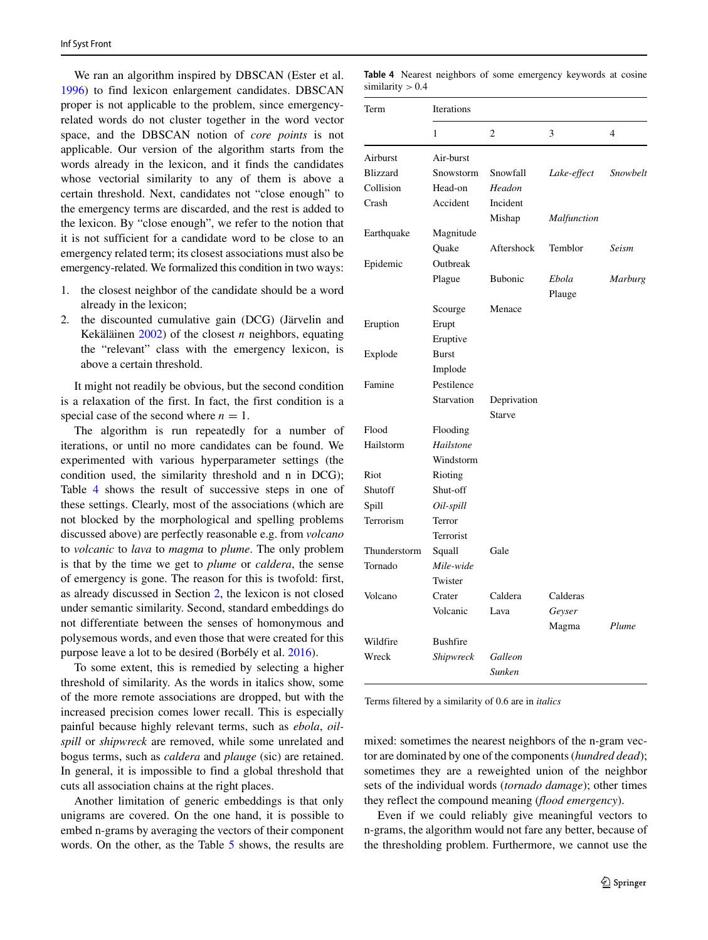We ran an algorithm inspired by DBSCAN (Ester et al. [1996\)](#page-13-14) to find lexicon enlargement candidates. DBSCAN proper is not applicable to the problem, since emergencyrelated words do not cluster together in the word vector space, and the DBSCAN notion of *core points* is not applicable. Our version of the algorithm starts from the words already in the lexicon, and it finds the candidates whose vectorial similarity to any of them is above a certain threshold. Next, candidates not "close enough" to the emergency terms are discarded, and the rest is added to the lexicon. By "close enough", we refer to the notion that it is not sufficient for a candidate word to be close to an emergency related term; its closest associations must also be emergency-related. We formalized this condition in two ways:

- 1. the closest neighbor of the candidate should be a word already in the lexicon;
- 2. the discounted cumulative gain (DCG) (Järvelin and Kekäläinen  $2002$ ) of the closest *n* neighbors, equating the "relevant" class with the emergency lexicon, is above a certain threshold.

It might not readily be obvious, but the second condition is a relaxation of the first. In fact, the first condition is a special case of the second where  $n = 1$ .

The algorithm is run repeatedly for a number of iterations, or until no more candidates can be found. We experimented with various hyperparameter settings (the condition used, the similarity threshold and n in DCG); Table [4](#page-4-0) shows the result of successive steps in one of these settings. Clearly, most of the associations (which are not blocked by the morphological and spelling problems discussed above) are perfectly reasonable e.g. from *volcano* to *volcanic* to *lava* to *magma* to *plume*. The only problem is that by the time we get to *plume* or *caldera*, the sense of emergency is gone. The reason for this is twofold: first, as already discussed in Section [2,](#page-1-0) the lexicon is not closed under semantic similarity. Second, standard embeddings do not differentiate between the senses of homonymous and polysemous words, and even those that were created for this purpose leave a lot to be desired (Borbély et al. [2016\)](#page-13-16).

To some extent, this is remedied by selecting a higher threshold of similarity. As the words in italics show, some of the more remote associations are dropped, but with the increased precision comes lower recall. This is especially painful because highly relevant terms, such as *ebola*, *oilspill* or *shipwreck* are removed, while some unrelated and bogus terms, such as *caldera* and *plauge* (sic) are retained. In general, it is impossible to find a global threshold that cuts all association chains at the right places.

Another limitation of generic embeddings is that only unigrams are covered. On the one hand, it is possible to embed n-grams by averaging the vectors of their component words. On the other, as the Table [5](#page-5-1) shows, the results are

<span id="page-4-0"></span>**Table 4** Nearest neighbors of some emergency keywords at cosine similarity  $> 0.4$ 

| Term            | Iterations       |                |                 |                |  |  |  |  |
|-----------------|------------------|----------------|-----------------|----------------|--|--|--|--|
|                 | 1                | $\overline{c}$ | 3               | $\overline{4}$ |  |  |  |  |
| Airburst        | Air-burst        |                |                 |                |  |  |  |  |
| <b>Blizzard</b> | Snowstorm        | Snowfall       | Lake-effect     | Snowbelt       |  |  |  |  |
| Collision       | Head-on          | Headon         |                 |                |  |  |  |  |
| Crash           | Accident         | Incident       |                 |                |  |  |  |  |
|                 |                  | Mishap         | Malfunction     |                |  |  |  |  |
| Earthquake      | Magnitude        |                |                 |                |  |  |  |  |
|                 | Ouake            | Aftershock     | Temblor         | Seism          |  |  |  |  |
| Epidemic        | Outbreak         |                |                 |                |  |  |  |  |
|                 | Plague           | <b>Bubonic</b> | Ebola<br>Plauge | <b>Marburg</b> |  |  |  |  |
|                 | Scourge          | Menace         |                 |                |  |  |  |  |
| Eruption        | Erupt            |                |                 |                |  |  |  |  |
|                 | Eruptive         |                |                 |                |  |  |  |  |
| Explode         | <b>Burst</b>     |                |                 |                |  |  |  |  |
|                 | Implode          |                |                 |                |  |  |  |  |
| Famine          | Pestilence       |                |                 |                |  |  |  |  |
|                 | Starvation       | Deprivation    |                 |                |  |  |  |  |
|                 |                  | <b>Starve</b>  |                 |                |  |  |  |  |
| Flood           | Flooding         |                |                 |                |  |  |  |  |
| Hailstorm       | Hailstone        |                |                 |                |  |  |  |  |
|                 | Windstorm        |                |                 |                |  |  |  |  |
| Riot            | Rioting          |                |                 |                |  |  |  |  |
| Shutoff         | Shut-off         |                |                 |                |  |  |  |  |
| Spill           | Oil-spill        |                |                 |                |  |  |  |  |
| Terrorism       | Terror           |                |                 |                |  |  |  |  |
|                 | Terrorist        |                |                 |                |  |  |  |  |
| Thunderstorm    | Squall           | Gale           |                 |                |  |  |  |  |
| Tornado         | Mile-wide        |                |                 |                |  |  |  |  |
|                 | Twister          |                |                 |                |  |  |  |  |
| Volcano         | Crater           | Caldera        | Calderas        |                |  |  |  |  |
|                 | Volcanic         | Lava           | Geyser          |                |  |  |  |  |
|                 |                  |                | Magma           | Plume          |  |  |  |  |
| Wildfire        | <b>Bushfire</b>  |                |                 |                |  |  |  |  |
| Wreck           | <b>Shipwreck</b> | Galleon        |                 |                |  |  |  |  |
|                 |                  | Sunken         |                 |                |  |  |  |  |
|                 |                  |                |                 |                |  |  |  |  |

Terms filtered by a similarity of 0.6 are in *italics*

mixed: sometimes the nearest neighbors of the n-gram vector are dominated by one of the components (*hundred dead*); sometimes they are a reweighted union of the neighbor sets of the individual words (*tornado damage*); other times they reflect the compound meaning (*flood emergency*).

Even if we could reliably give meaningful vectors to n-grams, the algorithm would not fare any better, because of the thresholding problem. Furthermore, we cannot use the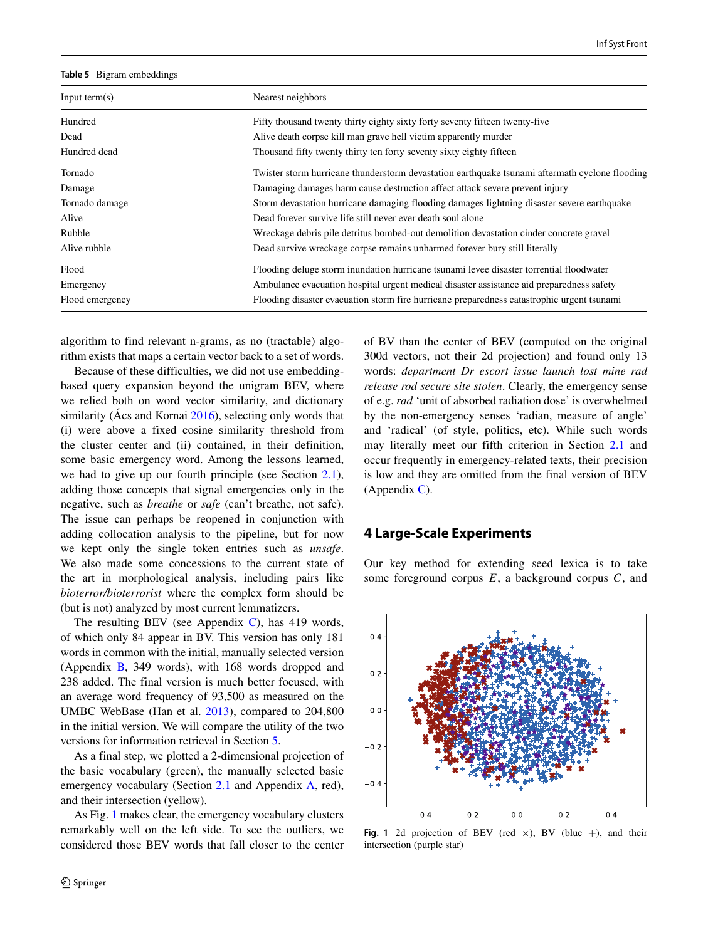#### <span id="page-5-1"></span>**Table 5** Bigram embeddings

| Input term $(s)$ | Nearest neighbors                                                                              |
|------------------|------------------------------------------------------------------------------------------------|
| Hundred          | Fifty thousand twenty thirty eighty sixty forty seventy fifteen twenty-five                    |
| Dead             | Alive death corpse kill man grave hell victim apparently murder                                |
| Hundred dead     | Thousand fifty twenty thirty ten forty seventy sixty eighty fifteen                            |
| Tornado          | Twister storm hurricane thunderstorm devastation earthquake tsunami aftermath cyclone flooding |
| Damage           | Damaging damages harm cause destruction affect attack severe prevent injury                    |
| Tornado damage   | Storm devastation hurricane damaging flooding damages lightning disaster severe earthquake     |
| Alive            | Dead forever survive life still never ever death soul alone                                    |
| Rubble           | Wreckage debris pile detritus bombed-out demolition devastation cinder concrete gravel         |
| Alive rubble     | Dead survive wreckage corpse remains unharmed forever bury still literally                     |
| Flood            | Flooding deluge storm inundation hurricane tsunami levee disaster torrential floodwater        |
| Emergency        | Ambulance evacuation hospital urgent medical disaster assistance aid preparedness safety       |
| Flood emergency  | Flooding disaster evacuation storm fire hurricane preparedness catastrophic urgent tsunami     |

algorithm to find relevant n-grams, as no (tractable) algorithm exists that maps a certain vector back to a set of words.

Because of these difficulties, we did not use embeddingbased query expansion beyond the unigram BEV, where we relied both on word vector similarity, and dictionary similarity ( $\acute{A}$ cs and Kornai  $2016$ ), selecting only words that (i) were above a fixed cosine similarity threshold from the cluster center and (ii) contained, in their definition, some basic emergency word. Among the lessons learned, we had to give up our fourth principle (see Section [2.1\)](#page-1-2), adding those concepts that signal emergencies only in the negative, such as *breathe* or *safe* (can't breathe, not safe). The issue can perhaps be reopened in conjunction with adding collocation analysis to the pipeline, but for now we kept only the single token entries such as *unsafe*. We also made some concessions to the current state of the art in morphological analysis, including pairs like *bioterror/bioterrorist* where the complex form should be (but is not) analyzed by most current lemmatizers.

The resulting BEV (see Appendix  $C$ ), has 419 words, of which only 84 appear in BV. This version has only 181 words in common with the initial, manually selected version (Appendix [B,](#page-11-1) 349 words), with 168 words dropped and 238 added. The final version is much better focused, with an average word frequency of 93,500 as measured on the UMBC WebBase (Han et al. [2013\)](#page-13-18), compared to 204,800 in the initial version. We will compare the utility of the two versions for information retrieval in Section [5.](#page-8-0)

As a final step, we plotted a 2-dimensional projection of the basic vocabulary (green), the manually selected basic emergency vocabulary (Section [2.1](#page-1-2) and Appendix [A,](#page-11-0) red), and their intersection (yellow).

As Fig. [1](#page-5-2) makes clear, the emergency vocabulary clusters remarkably well on the left side. To see the outliers, we considered those BEV words that fall closer to the center of BV than the center of BEV (computed on the original 300d vectors, not their 2d projection) and found only 13 words: *department Dr escort issue launch lost mine rad release rod secure site stolen*. Clearly, the emergency sense of e.g. *rad* 'unit of absorbed radiation dose' is overwhelmed by the non-emergency senses 'radian, measure of angle' and 'radical' (of style, politics, etc). While such words may literally meet our fifth criterion in Section [2.1](#page-1-2) and occur frequently in emergency-related texts, their precision is low and they are omitted from the final version of BEV (Appendix [C\)](#page-12-0).

### <span id="page-5-0"></span>**4 Large-Scale Experiments**

Our key method for extending seed lexica is to take some foreground corpus *E*, a background corpus *C*, and

<span id="page-5-2"></span>

**Fig. 1** 2d projection of BEV (red  $\times$ ), BV (blue +), and their intersection (purple star)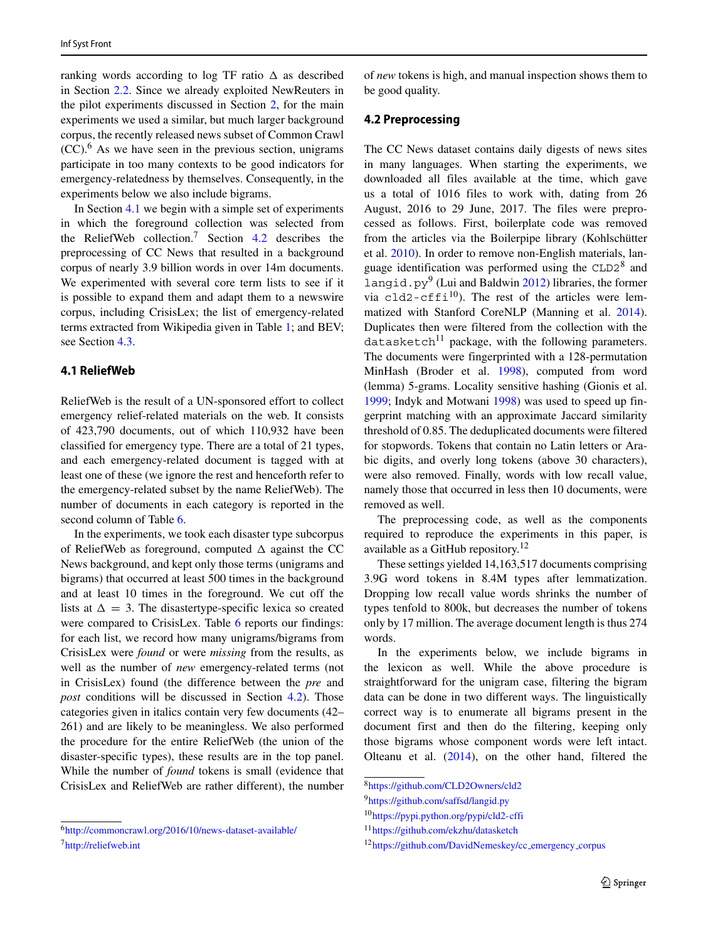ranking words according to log TF ratio  $\Delta$  as described in Section [2.2.](#page-2-1) Since we already exploited NewReuters in the pilot experiments discussed in Section [2,](#page-1-0) for the main experiments we used a similar, but much larger background corpus, the recently released news subset of Common Crawl  $(CC)$ .<sup>6</sup> As we have seen in the previous section, unigrams participate in too many contexts to be good indicators for emergency-relatedness by themselves. Consequently, in the experiments below we also include bigrams.

In Section [4.1](#page-6-0) we begin with a simple set of experiments in which the foreground collection was selected from the ReliefWeb collection.7 Section [4.2](#page-6-1) describes the preprocessing of CC News that resulted in a background corpus of nearly 3.9 billion words in over 14m documents. We experimented with several core term lists to see if it is possible to expand them and adapt them to a newswire corpus, including CrisisLex; the list of emergency-related terms extracted from Wikipedia given in Table [1;](#page-1-1) and BEV; see Section [4.3.](#page-8-1)

#### <span id="page-6-0"></span>**4.1 ReliefWeb**

ReliefWeb is the result of a UN-sponsored effort to collect emergency relief-related materials on the web. It consists of 423,790 documents, out of which 110,932 have been classified for emergency type. There are a total of 21 types, and each emergency-related document is tagged with at least one of these (we ignore the rest and henceforth refer to the emergency-related subset by the name ReliefWeb). The number of documents in each category is reported in the second column of Table [6.](#page-7-0)

In the experiments, we took each disaster type subcorpus of ReliefWeb as foreground, computed  $\Delta$  against the CC News background, and kept only those terms (unigrams and bigrams) that occurred at least 500 times in the background and at least 10 times in the foreground. We cut off the lists at  $\Delta = 3$ . The disastertype-specific lexica so created were compared to CrisisLex. Table [6](#page-7-0) reports our findings: for each list, we record how many unigrams/bigrams from CrisisLex were *found* or were *missing* from the results, as well as the number of *new* emergency-related terms (not in CrisisLex) found (the difference between the *pre* and *post* conditions will be discussed in Section [4.2\)](#page-6-1). Those categories given in italics contain very few documents (42– 261) and are likely to be meaningless. We also performed the procedure for the entire ReliefWeb (the union of the disaster-specific types), these results are in the top panel. While the number of *found* tokens is small (evidence that CrisisLex and ReliefWeb are rather different), the number of *new* tokens is high, and manual inspection shows them to be good quality.

#### <span id="page-6-1"></span>**4.2 Preprocessing**

The CC News dataset contains daily digests of news sites in many languages. When starting the experiments, we downloaded all files available at the time, which gave us a total of 1016 files to work with, dating from 26 August, 2016 to 29 June, 2017. The files were preprocessed as follows. First, boilerplate code was removed from the articles via the Boilerpipe library (Kohlschütter et al. [2010\)](#page-13-19). In order to remove non-English materials, language identification was performed using the  $CLD2<sup>8</sup>$  and langid.py<sup>9</sup> (Lui and Baldwin [2012\)](#page-13-20) libraries, the former via  $c1d2-cffi^{10}$ ). The rest of the articles were lemmatized with Stanford CoreNLP (Manning et al. [2014\)](#page-13-12). Duplicates then were filtered from the collection with the datasketch<sup>11</sup> package, with the following parameters. The documents were fingerprinted with a 128-permutation MinHash (Broder et al. [1998\)](#page-13-21), computed from word (lemma) 5-grams. Locality sensitive hashing (Gionis et al. [1999;](#page-13-22) Indyk and Motwani [1998\)](#page-13-23) was used to speed up fingerprint matching with an approximate Jaccard similarity threshold of 0.85. The deduplicated documents were filtered for stopwords. Tokens that contain no Latin letters or Arabic digits, and overly long tokens (above 30 characters), were also removed. Finally, words with low recall value, namely those that occurred in less then 10 documents, were removed as well.

The preprocessing code, as well as the components required to reproduce the experiments in this paper, is available as a GitHub repository.12

These settings yielded 14,163,517 documents comprising 3.9G word tokens in 8.4M types after lemmatization. Dropping low recall value words shrinks the number of types tenfold to 800k, but decreases the number of tokens only by 17 million. The average document length is thus 274 words.

In the experiments below, we include bigrams in the lexicon as well. While the above procedure is straightforward for the unigram case, filtering the bigram data can be done in two different ways. The linguistically correct way is to enumerate all bigrams present in the document first and then do the filtering, keeping only those bigrams whose component words were left intact. Olteanu et al. [\(2014\)](#page-13-0), on the other hand, filtered the

[<sup>6</sup>http://commoncrawl.org/2016/10/news-dataset-available/](http://commoncrawl.org/2016/10/news-dataset-available/)

[<sup>7</sup>http://reliefweb.int](http://reliefweb.int)

[<sup>8</sup>https://github.com/CLD2Owners/cld2](https://github.com/CLD2Owners/cld2)

[<sup>9</sup>https://github.com/saffsd/langid.py](https://github.com/saffsd/langid.py)

<sup>1</sup>[0https://pypi.python.org/pypi/cld2-cffi](https://pypi.python.org/pypi/cld2-cffi)

<sup>1</sup>[1https://github.com/ekzhu/datasketch](https://github.com/ekzhu/datasketch)

<sup>&</sup>lt;sup>12</sup>https://github.com/DavidNemeskey/cc\_emergency\_corpus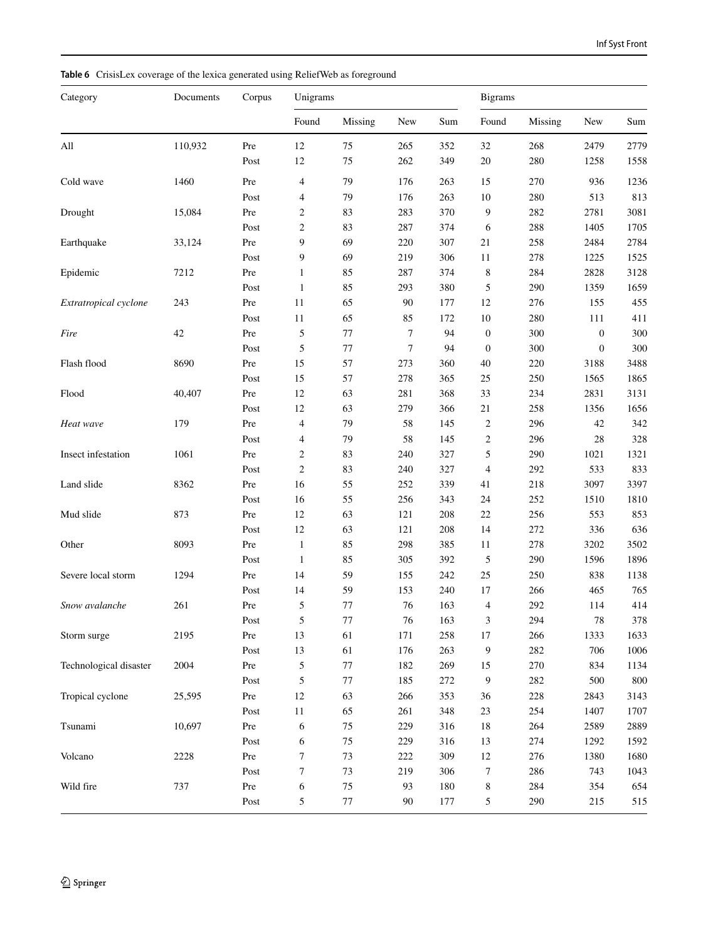<span id="page-7-0"></span>**Table 6** CrisisLex coverage of the lexica generated using ReliefWeb as foreground

| Found<br>Missing<br>New<br>Missing<br>New<br>$\operatorname{Sum}$<br>Sum<br>Found<br>$12\,$<br>75<br>32<br>All<br>110,932<br>Pre<br>265<br>352<br>268<br>2479<br>2779<br>12<br>75<br>262<br>349<br>$20\,$<br>280<br>Post<br>1258<br>1558<br>Cold wave<br>1460<br>$\overline{4}$<br>79<br>176<br>263<br>15<br>270<br>936<br>1236<br>Pre<br>813<br>$\overline{4}$<br>79<br>263<br>$10\,$<br>280<br>513<br>Post<br>176<br>$\overline{9}$<br>3081<br>15,084<br>Pre<br>$\overline{c}$<br>83<br>283<br>370<br>282<br>2781<br>374<br>1705<br>$\overline{c}$<br>83<br>287<br>6<br>288<br>1405<br>Post<br>33,124<br>Pre<br>9<br>69<br>220<br>307<br>21<br>258<br>2484<br>2784<br>Earthquake<br>306<br>9<br>69<br>219<br>278<br>1225<br>1525<br>Post<br>11<br>374<br>$\,$ 8 $\,$<br>3128<br>7212<br>Pre<br>85<br>287<br>284<br>2828<br>$\mathbf{1}$<br>1659<br>85<br>293<br>380<br>5<br>290<br>1359<br>Post<br>$\mathbf{1}$<br>455<br>243<br>11<br>65<br>90<br>177<br>12<br>276<br>155<br>Extratropical cyclone<br>Pre<br>11<br>65<br>85<br>172<br>$10\,$<br>280<br>111<br>411<br>Post<br>94<br>300<br>42<br>Pre<br>5<br>77<br>7<br>$\boldsymbol{0}$<br>300<br>$\boldsymbol{0}$<br>$\sqrt{5}$<br>$77\,$<br>$\tau$<br>94<br>300<br>Post<br>$\boldsymbol{0}$<br>300<br>$\boldsymbol{0}$<br>3488<br>8690<br>15<br>57<br>273<br>360<br>40<br>220<br>Flash flood<br>Pre<br>3188<br>15<br>57<br>278<br>365<br>250<br>1865<br>Post<br>25<br>1565<br>368<br>40,407<br>Pre<br>12<br>63<br>281<br>33<br>234<br>2831<br>3131<br>12<br>63<br>279<br>366<br>21<br>258<br>1356<br>1656<br>Post<br>58<br>342<br>179<br>$\overline{4}$<br>79<br>145<br>$\boldsymbol{2}$<br>296<br>42<br>Pre<br>58<br>$\sqrt{2}$<br>28<br>328<br>$\overline{4}$<br>79<br>145<br>296<br>Post<br>Insect infestation<br>1061<br>$\boldsymbol{2}$<br>83<br>240<br>327<br>5<br>290<br>1021<br>1321<br>Pre<br>$\mathfrak{2}$<br>327<br>833<br>Post<br>83<br>240<br>$\overline{4}$<br>292<br>533<br>3397<br>8362<br>Pre<br>16<br>55<br>252<br>339<br>218<br>3097<br>41<br>55<br>256<br>343<br>252<br>1510<br>1810<br>Post<br>16<br>24<br>208<br>853<br>Mud slide<br>873<br>Pre<br>12<br>63<br>121<br>$22\,$<br>256<br>553<br>208<br>636<br>$12\,$<br>63<br>121<br>14<br>272<br>336<br>Post<br>8093<br>$\mathbf{1}$<br>85<br>298<br>385<br>11<br>278<br>3202<br>3502<br>Other<br>Pre<br>85<br>392<br>305<br>5<br>290<br>1596<br>1896<br>Post<br>$\mathbf{1}$<br>59<br>242<br>25<br>250<br>838<br>1138<br>Severe local storm<br>1294<br>Pre<br>14<br>155<br>Post<br>59<br>153<br>240<br>17<br>266<br>465<br>765<br>14<br>261<br>5<br>77<br>76<br>163<br>292<br>414<br>Snow avalanche<br>Pre<br>4<br>114<br>Post<br>5<br>$77\,$<br>76<br>163<br>3<br>294<br>78<br>378<br>61<br>1633<br>2195<br>Pre<br>13<br>171<br>258<br>17<br>266<br>1333<br>Storm surge<br>13<br>61<br>263<br>9<br>282<br>706<br>1006<br>Post<br>176<br>269<br>5<br>$77\,$<br>182<br>15<br>270<br>834<br>1134<br>Technological disaster<br>2004<br>Pre<br>$272\,$<br>5<br>$77\,$<br>185<br>9<br>282<br>500<br>800<br>Post<br>Tropical cyclone<br>$12\,$<br>353<br>36<br>228<br>3143<br>25,595<br>Pre<br>63<br>266<br>2843<br>348<br>$11\,$<br>65<br>261<br>$23\,$<br>254<br>1407<br>1707<br>Post<br>Tsunami<br>10,697<br>Pre<br>6<br>$75\,$<br>229<br>316<br>$18\,$<br>264<br>2589<br>2889<br>$75\,$<br>229<br>316<br>13<br>274<br>1292<br>1592<br>Post<br>6<br>309<br>Pre<br>7<br>73<br>12<br>276<br>1380<br>1680<br>Volcano<br>2228<br>222<br>Post<br>7<br>73<br>219<br>306<br>7<br>286<br>743<br>1043<br>Wild fire<br>$75\,$<br>93<br>180<br>8<br>284<br>354<br>654<br>737<br>Pre<br>6<br>$\sqrt{5}$<br>$77\,$<br>90<br>177<br>5<br>290<br>515<br>Post<br>215 | Category   | Documents | Corpus | Unigrams |  |  |  | <b>Bigrams</b> |  |  |  |
|--------------------------------------------------------------------------------------------------------------------------------------------------------------------------------------------------------------------------------------------------------------------------------------------------------------------------------------------------------------------------------------------------------------------------------------------------------------------------------------------------------------------------------------------------------------------------------------------------------------------------------------------------------------------------------------------------------------------------------------------------------------------------------------------------------------------------------------------------------------------------------------------------------------------------------------------------------------------------------------------------------------------------------------------------------------------------------------------------------------------------------------------------------------------------------------------------------------------------------------------------------------------------------------------------------------------------------------------------------------------------------------------------------------------------------------------------------------------------------------------------------------------------------------------------------------------------------------------------------------------------------------------------------------------------------------------------------------------------------------------------------------------------------------------------------------------------------------------------------------------------------------------------------------------------------------------------------------------------------------------------------------------------------------------------------------------------------------------------------------------------------------------------------------------------------------------------------------------------------------------------------------------------------------------------------------------------------------------------------------------------------------------------------------------------------------------------------------------------------------------------------------------------------------------------------------------------------------------------------------------------------------------------------------------------------------------------------------------------------------------------------------------------------------------------------------------------------------------------------------------------------------------------------------------------------------------------------------------------------------------------------------------------------------------------------------------------------------------------------------------------------------------------------------------------------------------------------------------------------------------------------------------------------------------------------------------------------------------------------------------------------------------------------------------------------------------------------------------------------------------------------------------------------------------------------------------------------------------------------------------------------------------------------------------------------|------------|-----------|--------|----------|--|--|--|----------------|--|--|--|
|                                                                                                                                                                                                                                                                                                                                                                                                                                                                                                                                                                                                                                                                                                                                                                                                                                                                                                                                                                                                                                                                                                                                                                                                                                                                                                                                                                                                                                                                                                                                                                                                                                                                                                                                                                                                                                                                                                                                                                                                                                                                                                                                                                                                                                                                                                                                                                                                                                                                                                                                                                                                                                                                                                                                                                                                                                                                                                                                                                                                                                                                                                                                                                                                                                                                                                                                                                                                                                                                                                                                                                                                                                                                                |            |           |        |          |  |  |  |                |  |  |  |
|                                                                                                                                                                                                                                                                                                                                                                                                                                                                                                                                                                                                                                                                                                                                                                                                                                                                                                                                                                                                                                                                                                                                                                                                                                                                                                                                                                                                                                                                                                                                                                                                                                                                                                                                                                                                                                                                                                                                                                                                                                                                                                                                                                                                                                                                                                                                                                                                                                                                                                                                                                                                                                                                                                                                                                                                                                                                                                                                                                                                                                                                                                                                                                                                                                                                                                                                                                                                                                                                                                                                                                                                                                                                                |            |           |        |          |  |  |  |                |  |  |  |
|                                                                                                                                                                                                                                                                                                                                                                                                                                                                                                                                                                                                                                                                                                                                                                                                                                                                                                                                                                                                                                                                                                                                                                                                                                                                                                                                                                                                                                                                                                                                                                                                                                                                                                                                                                                                                                                                                                                                                                                                                                                                                                                                                                                                                                                                                                                                                                                                                                                                                                                                                                                                                                                                                                                                                                                                                                                                                                                                                                                                                                                                                                                                                                                                                                                                                                                                                                                                                                                                                                                                                                                                                                                                                |            |           |        |          |  |  |  |                |  |  |  |
|                                                                                                                                                                                                                                                                                                                                                                                                                                                                                                                                                                                                                                                                                                                                                                                                                                                                                                                                                                                                                                                                                                                                                                                                                                                                                                                                                                                                                                                                                                                                                                                                                                                                                                                                                                                                                                                                                                                                                                                                                                                                                                                                                                                                                                                                                                                                                                                                                                                                                                                                                                                                                                                                                                                                                                                                                                                                                                                                                                                                                                                                                                                                                                                                                                                                                                                                                                                                                                                                                                                                                                                                                                                                                |            |           |        |          |  |  |  |                |  |  |  |
|                                                                                                                                                                                                                                                                                                                                                                                                                                                                                                                                                                                                                                                                                                                                                                                                                                                                                                                                                                                                                                                                                                                                                                                                                                                                                                                                                                                                                                                                                                                                                                                                                                                                                                                                                                                                                                                                                                                                                                                                                                                                                                                                                                                                                                                                                                                                                                                                                                                                                                                                                                                                                                                                                                                                                                                                                                                                                                                                                                                                                                                                                                                                                                                                                                                                                                                                                                                                                                                                                                                                                                                                                                                                                |            |           |        |          |  |  |  |                |  |  |  |
|                                                                                                                                                                                                                                                                                                                                                                                                                                                                                                                                                                                                                                                                                                                                                                                                                                                                                                                                                                                                                                                                                                                                                                                                                                                                                                                                                                                                                                                                                                                                                                                                                                                                                                                                                                                                                                                                                                                                                                                                                                                                                                                                                                                                                                                                                                                                                                                                                                                                                                                                                                                                                                                                                                                                                                                                                                                                                                                                                                                                                                                                                                                                                                                                                                                                                                                                                                                                                                                                                                                                                                                                                                                                                | Drought    |           |        |          |  |  |  |                |  |  |  |
|                                                                                                                                                                                                                                                                                                                                                                                                                                                                                                                                                                                                                                                                                                                                                                                                                                                                                                                                                                                                                                                                                                                                                                                                                                                                                                                                                                                                                                                                                                                                                                                                                                                                                                                                                                                                                                                                                                                                                                                                                                                                                                                                                                                                                                                                                                                                                                                                                                                                                                                                                                                                                                                                                                                                                                                                                                                                                                                                                                                                                                                                                                                                                                                                                                                                                                                                                                                                                                                                                                                                                                                                                                                                                |            |           |        |          |  |  |  |                |  |  |  |
|                                                                                                                                                                                                                                                                                                                                                                                                                                                                                                                                                                                                                                                                                                                                                                                                                                                                                                                                                                                                                                                                                                                                                                                                                                                                                                                                                                                                                                                                                                                                                                                                                                                                                                                                                                                                                                                                                                                                                                                                                                                                                                                                                                                                                                                                                                                                                                                                                                                                                                                                                                                                                                                                                                                                                                                                                                                                                                                                                                                                                                                                                                                                                                                                                                                                                                                                                                                                                                                                                                                                                                                                                                                                                |            |           |        |          |  |  |  |                |  |  |  |
|                                                                                                                                                                                                                                                                                                                                                                                                                                                                                                                                                                                                                                                                                                                                                                                                                                                                                                                                                                                                                                                                                                                                                                                                                                                                                                                                                                                                                                                                                                                                                                                                                                                                                                                                                                                                                                                                                                                                                                                                                                                                                                                                                                                                                                                                                                                                                                                                                                                                                                                                                                                                                                                                                                                                                                                                                                                                                                                                                                                                                                                                                                                                                                                                                                                                                                                                                                                                                                                                                                                                                                                                                                                                                |            |           |        |          |  |  |  |                |  |  |  |
|                                                                                                                                                                                                                                                                                                                                                                                                                                                                                                                                                                                                                                                                                                                                                                                                                                                                                                                                                                                                                                                                                                                                                                                                                                                                                                                                                                                                                                                                                                                                                                                                                                                                                                                                                                                                                                                                                                                                                                                                                                                                                                                                                                                                                                                                                                                                                                                                                                                                                                                                                                                                                                                                                                                                                                                                                                                                                                                                                                                                                                                                                                                                                                                                                                                                                                                                                                                                                                                                                                                                                                                                                                                                                | Epidemic   |           |        |          |  |  |  |                |  |  |  |
|                                                                                                                                                                                                                                                                                                                                                                                                                                                                                                                                                                                                                                                                                                                                                                                                                                                                                                                                                                                                                                                                                                                                                                                                                                                                                                                                                                                                                                                                                                                                                                                                                                                                                                                                                                                                                                                                                                                                                                                                                                                                                                                                                                                                                                                                                                                                                                                                                                                                                                                                                                                                                                                                                                                                                                                                                                                                                                                                                                                                                                                                                                                                                                                                                                                                                                                                                                                                                                                                                                                                                                                                                                                                                |            |           |        |          |  |  |  |                |  |  |  |
|                                                                                                                                                                                                                                                                                                                                                                                                                                                                                                                                                                                                                                                                                                                                                                                                                                                                                                                                                                                                                                                                                                                                                                                                                                                                                                                                                                                                                                                                                                                                                                                                                                                                                                                                                                                                                                                                                                                                                                                                                                                                                                                                                                                                                                                                                                                                                                                                                                                                                                                                                                                                                                                                                                                                                                                                                                                                                                                                                                                                                                                                                                                                                                                                                                                                                                                                                                                                                                                                                                                                                                                                                                                                                |            |           |        |          |  |  |  |                |  |  |  |
|                                                                                                                                                                                                                                                                                                                                                                                                                                                                                                                                                                                                                                                                                                                                                                                                                                                                                                                                                                                                                                                                                                                                                                                                                                                                                                                                                                                                                                                                                                                                                                                                                                                                                                                                                                                                                                                                                                                                                                                                                                                                                                                                                                                                                                                                                                                                                                                                                                                                                                                                                                                                                                                                                                                                                                                                                                                                                                                                                                                                                                                                                                                                                                                                                                                                                                                                                                                                                                                                                                                                                                                                                                                                                |            |           |        |          |  |  |  |                |  |  |  |
|                                                                                                                                                                                                                                                                                                                                                                                                                                                                                                                                                                                                                                                                                                                                                                                                                                                                                                                                                                                                                                                                                                                                                                                                                                                                                                                                                                                                                                                                                                                                                                                                                                                                                                                                                                                                                                                                                                                                                                                                                                                                                                                                                                                                                                                                                                                                                                                                                                                                                                                                                                                                                                                                                                                                                                                                                                                                                                                                                                                                                                                                                                                                                                                                                                                                                                                                                                                                                                                                                                                                                                                                                                                                                | Fire       |           |        |          |  |  |  |                |  |  |  |
|                                                                                                                                                                                                                                                                                                                                                                                                                                                                                                                                                                                                                                                                                                                                                                                                                                                                                                                                                                                                                                                                                                                                                                                                                                                                                                                                                                                                                                                                                                                                                                                                                                                                                                                                                                                                                                                                                                                                                                                                                                                                                                                                                                                                                                                                                                                                                                                                                                                                                                                                                                                                                                                                                                                                                                                                                                                                                                                                                                                                                                                                                                                                                                                                                                                                                                                                                                                                                                                                                                                                                                                                                                                                                |            |           |        |          |  |  |  |                |  |  |  |
|                                                                                                                                                                                                                                                                                                                                                                                                                                                                                                                                                                                                                                                                                                                                                                                                                                                                                                                                                                                                                                                                                                                                                                                                                                                                                                                                                                                                                                                                                                                                                                                                                                                                                                                                                                                                                                                                                                                                                                                                                                                                                                                                                                                                                                                                                                                                                                                                                                                                                                                                                                                                                                                                                                                                                                                                                                                                                                                                                                                                                                                                                                                                                                                                                                                                                                                                                                                                                                                                                                                                                                                                                                                                                |            |           |        |          |  |  |  |                |  |  |  |
|                                                                                                                                                                                                                                                                                                                                                                                                                                                                                                                                                                                                                                                                                                                                                                                                                                                                                                                                                                                                                                                                                                                                                                                                                                                                                                                                                                                                                                                                                                                                                                                                                                                                                                                                                                                                                                                                                                                                                                                                                                                                                                                                                                                                                                                                                                                                                                                                                                                                                                                                                                                                                                                                                                                                                                                                                                                                                                                                                                                                                                                                                                                                                                                                                                                                                                                                                                                                                                                                                                                                                                                                                                                                                |            |           |        |          |  |  |  |                |  |  |  |
|                                                                                                                                                                                                                                                                                                                                                                                                                                                                                                                                                                                                                                                                                                                                                                                                                                                                                                                                                                                                                                                                                                                                                                                                                                                                                                                                                                                                                                                                                                                                                                                                                                                                                                                                                                                                                                                                                                                                                                                                                                                                                                                                                                                                                                                                                                                                                                                                                                                                                                                                                                                                                                                                                                                                                                                                                                                                                                                                                                                                                                                                                                                                                                                                                                                                                                                                                                                                                                                                                                                                                                                                                                                                                | Flood      |           |        |          |  |  |  |                |  |  |  |
|                                                                                                                                                                                                                                                                                                                                                                                                                                                                                                                                                                                                                                                                                                                                                                                                                                                                                                                                                                                                                                                                                                                                                                                                                                                                                                                                                                                                                                                                                                                                                                                                                                                                                                                                                                                                                                                                                                                                                                                                                                                                                                                                                                                                                                                                                                                                                                                                                                                                                                                                                                                                                                                                                                                                                                                                                                                                                                                                                                                                                                                                                                                                                                                                                                                                                                                                                                                                                                                                                                                                                                                                                                                                                |            |           |        |          |  |  |  |                |  |  |  |
|                                                                                                                                                                                                                                                                                                                                                                                                                                                                                                                                                                                                                                                                                                                                                                                                                                                                                                                                                                                                                                                                                                                                                                                                                                                                                                                                                                                                                                                                                                                                                                                                                                                                                                                                                                                                                                                                                                                                                                                                                                                                                                                                                                                                                                                                                                                                                                                                                                                                                                                                                                                                                                                                                                                                                                                                                                                                                                                                                                                                                                                                                                                                                                                                                                                                                                                                                                                                                                                                                                                                                                                                                                                                                | Heat wave  |           |        |          |  |  |  |                |  |  |  |
|                                                                                                                                                                                                                                                                                                                                                                                                                                                                                                                                                                                                                                                                                                                                                                                                                                                                                                                                                                                                                                                                                                                                                                                                                                                                                                                                                                                                                                                                                                                                                                                                                                                                                                                                                                                                                                                                                                                                                                                                                                                                                                                                                                                                                                                                                                                                                                                                                                                                                                                                                                                                                                                                                                                                                                                                                                                                                                                                                                                                                                                                                                                                                                                                                                                                                                                                                                                                                                                                                                                                                                                                                                                                                |            |           |        |          |  |  |  |                |  |  |  |
|                                                                                                                                                                                                                                                                                                                                                                                                                                                                                                                                                                                                                                                                                                                                                                                                                                                                                                                                                                                                                                                                                                                                                                                                                                                                                                                                                                                                                                                                                                                                                                                                                                                                                                                                                                                                                                                                                                                                                                                                                                                                                                                                                                                                                                                                                                                                                                                                                                                                                                                                                                                                                                                                                                                                                                                                                                                                                                                                                                                                                                                                                                                                                                                                                                                                                                                                                                                                                                                                                                                                                                                                                                                                                |            |           |        |          |  |  |  |                |  |  |  |
|                                                                                                                                                                                                                                                                                                                                                                                                                                                                                                                                                                                                                                                                                                                                                                                                                                                                                                                                                                                                                                                                                                                                                                                                                                                                                                                                                                                                                                                                                                                                                                                                                                                                                                                                                                                                                                                                                                                                                                                                                                                                                                                                                                                                                                                                                                                                                                                                                                                                                                                                                                                                                                                                                                                                                                                                                                                                                                                                                                                                                                                                                                                                                                                                                                                                                                                                                                                                                                                                                                                                                                                                                                                                                |            |           |        |          |  |  |  |                |  |  |  |
|                                                                                                                                                                                                                                                                                                                                                                                                                                                                                                                                                                                                                                                                                                                                                                                                                                                                                                                                                                                                                                                                                                                                                                                                                                                                                                                                                                                                                                                                                                                                                                                                                                                                                                                                                                                                                                                                                                                                                                                                                                                                                                                                                                                                                                                                                                                                                                                                                                                                                                                                                                                                                                                                                                                                                                                                                                                                                                                                                                                                                                                                                                                                                                                                                                                                                                                                                                                                                                                                                                                                                                                                                                                                                | Land slide |           |        |          |  |  |  |                |  |  |  |
|                                                                                                                                                                                                                                                                                                                                                                                                                                                                                                                                                                                                                                                                                                                                                                                                                                                                                                                                                                                                                                                                                                                                                                                                                                                                                                                                                                                                                                                                                                                                                                                                                                                                                                                                                                                                                                                                                                                                                                                                                                                                                                                                                                                                                                                                                                                                                                                                                                                                                                                                                                                                                                                                                                                                                                                                                                                                                                                                                                                                                                                                                                                                                                                                                                                                                                                                                                                                                                                                                                                                                                                                                                                                                |            |           |        |          |  |  |  |                |  |  |  |
|                                                                                                                                                                                                                                                                                                                                                                                                                                                                                                                                                                                                                                                                                                                                                                                                                                                                                                                                                                                                                                                                                                                                                                                                                                                                                                                                                                                                                                                                                                                                                                                                                                                                                                                                                                                                                                                                                                                                                                                                                                                                                                                                                                                                                                                                                                                                                                                                                                                                                                                                                                                                                                                                                                                                                                                                                                                                                                                                                                                                                                                                                                                                                                                                                                                                                                                                                                                                                                                                                                                                                                                                                                                                                |            |           |        |          |  |  |  |                |  |  |  |
|                                                                                                                                                                                                                                                                                                                                                                                                                                                                                                                                                                                                                                                                                                                                                                                                                                                                                                                                                                                                                                                                                                                                                                                                                                                                                                                                                                                                                                                                                                                                                                                                                                                                                                                                                                                                                                                                                                                                                                                                                                                                                                                                                                                                                                                                                                                                                                                                                                                                                                                                                                                                                                                                                                                                                                                                                                                                                                                                                                                                                                                                                                                                                                                                                                                                                                                                                                                                                                                                                                                                                                                                                                                                                |            |           |        |          |  |  |  |                |  |  |  |
|                                                                                                                                                                                                                                                                                                                                                                                                                                                                                                                                                                                                                                                                                                                                                                                                                                                                                                                                                                                                                                                                                                                                                                                                                                                                                                                                                                                                                                                                                                                                                                                                                                                                                                                                                                                                                                                                                                                                                                                                                                                                                                                                                                                                                                                                                                                                                                                                                                                                                                                                                                                                                                                                                                                                                                                                                                                                                                                                                                                                                                                                                                                                                                                                                                                                                                                                                                                                                                                                                                                                                                                                                                                                                |            |           |        |          |  |  |  |                |  |  |  |
|                                                                                                                                                                                                                                                                                                                                                                                                                                                                                                                                                                                                                                                                                                                                                                                                                                                                                                                                                                                                                                                                                                                                                                                                                                                                                                                                                                                                                                                                                                                                                                                                                                                                                                                                                                                                                                                                                                                                                                                                                                                                                                                                                                                                                                                                                                                                                                                                                                                                                                                                                                                                                                                                                                                                                                                                                                                                                                                                                                                                                                                                                                                                                                                                                                                                                                                                                                                                                                                                                                                                                                                                                                                                                |            |           |        |          |  |  |  |                |  |  |  |
|                                                                                                                                                                                                                                                                                                                                                                                                                                                                                                                                                                                                                                                                                                                                                                                                                                                                                                                                                                                                                                                                                                                                                                                                                                                                                                                                                                                                                                                                                                                                                                                                                                                                                                                                                                                                                                                                                                                                                                                                                                                                                                                                                                                                                                                                                                                                                                                                                                                                                                                                                                                                                                                                                                                                                                                                                                                                                                                                                                                                                                                                                                                                                                                                                                                                                                                                                                                                                                                                                                                                                                                                                                                                                |            |           |        |          |  |  |  |                |  |  |  |
|                                                                                                                                                                                                                                                                                                                                                                                                                                                                                                                                                                                                                                                                                                                                                                                                                                                                                                                                                                                                                                                                                                                                                                                                                                                                                                                                                                                                                                                                                                                                                                                                                                                                                                                                                                                                                                                                                                                                                                                                                                                                                                                                                                                                                                                                                                                                                                                                                                                                                                                                                                                                                                                                                                                                                                                                                                                                                                                                                                                                                                                                                                                                                                                                                                                                                                                                                                                                                                                                                                                                                                                                                                                                                |            |           |        |          |  |  |  |                |  |  |  |
|                                                                                                                                                                                                                                                                                                                                                                                                                                                                                                                                                                                                                                                                                                                                                                                                                                                                                                                                                                                                                                                                                                                                                                                                                                                                                                                                                                                                                                                                                                                                                                                                                                                                                                                                                                                                                                                                                                                                                                                                                                                                                                                                                                                                                                                                                                                                                                                                                                                                                                                                                                                                                                                                                                                                                                                                                                                                                                                                                                                                                                                                                                                                                                                                                                                                                                                                                                                                                                                                                                                                                                                                                                                                                |            |           |        |          |  |  |  |                |  |  |  |
|                                                                                                                                                                                                                                                                                                                                                                                                                                                                                                                                                                                                                                                                                                                                                                                                                                                                                                                                                                                                                                                                                                                                                                                                                                                                                                                                                                                                                                                                                                                                                                                                                                                                                                                                                                                                                                                                                                                                                                                                                                                                                                                                                                                                                                                                                                                                                                                                                                                                                                                                                                                                                                                                                                                                                                                                                                                                                                                                                                                                                                                                                                                                                                                                                                                                                                                                                                                                                                                                                                                                                                                                                                                                                |            |           |        |          |  |  |  |                |  |  |  |
|                                                                                                                                                                                                                                                                                                                                                                                                                                                                                                                                                                                                                                                                                                                                                                                                                                                                                                                                                                                                                                                                                                                                                                                                                                                                                                                                                                                                                                                                                                                                                                                                                                                                                                                                                                                                                                                                                                                                                                                                                                                                                                                                                                                                                                                                                                                                                                                                                                                                                                                                                                                                                                                                                                                                                                                                                                                                                                                                                                                                                                                                                                                                                                                                                                                                                                                                                                                                                                                                                                                                                                                                                                                                                |            |           |        |          |  |  |  |                |  |  |  |
|                                                                                                                                                                                                                                                                                                                                                                                                                                                                                                                                                                                                                                                                                                                                                                                                                                                                                                                                                                                                                                                                                                                                                                                                                                                                                                                                                                                                                                                                                                                                                                                                                                                                                                                                                                                                                                                                                                                                                                                                                                                                                                                                                                                                                                                                                                                                                                                                                                                                                                                                                                                                                                                                                                                                                                                                                                                                                                                                                                                                                                                                                                                                                                                                                                                                                                                                                                                                                                                                                                                                                                                                                                                                                |            |           |        |          |  |  |  |                |  |  |  |
|                                                                                                                                                                                                                                                                                                                                                                                                                                                                                                                                                                                                                                                                                                                                                                                                                                                                                                                                                                                                                                                                                                                                                                                                                                                                                                                                                                                                                                                                                                                                                                                                                                                                                                                                                                                                                                                                                                                                                                                                                                                                                                                                                                                                                                                                                                                                                                                                                                                                                                                                                                                                                                                                                                                                                                                                                                                                                                                                                                                                                                                                                                                                                                                                                                                                                                                                                                                                                                                                                                                                                                                                                                                                                |            |           |        |          |  |  |  |                |  |  |  |
|                                                                                                                                                                                                                                                                                                                                                                                                                                                                                                                                                                                                                                                                                                                                                                                                                                                                                                                                                                                                                                                                                                                                                                                                                                                                                                                                                                                                                                                                                                                                                                                                                                                                                                                                                                                                                                                                                                                                                                                                                                                                                                                                                                                                                                                                                                                                                                                                                                                                                                                                                                                                                                                                                                                                                                                                                                                                                                                                                                                                                                                                                                                                                                                                                                                                                                                                                                                                                                                                                                                                                                                                                                                                                |            |           |        |          |  |  |  |                |  |  |  |
|                                                                                                                                                                                                                                                                                                                                                                                                                                                                                                                                                                                                                                                                                                                                                                                                                                                                                                                                                                                                                                                                                                                                                                                                                                                                                                                                                                                                                                                                                                                                                                                                                                                                                                                                                                                                                                                                                                                                                                                                                                                                                                                                                                                                                                                                                                                                                                                                                                                                                                                                                                                                                                                                                                                                                                                                                                                                                                                                                                                                                                                                                                                                                                                                                                                                                                                                                                                                                                                                                                                                                                                                                                                                                |            |           |        |          |  |  |  |                |  |  |  |
|                                                                                                                                                                                                                                                                                                                                                                                                                                                                                                                                                                                                                                                                                                                                                                                                                                                                                                                                                                                                                                                                                                                                                                                                                                                                                                                                                                                                                                                                                                                                                                                                                                                                                                                                                                                                                                                                                                                                                                                                                                                                                                                                                                                                                                                                                                                                                                                                                                                                                                                                                                                                                                                                                                                                                                                                                                                                                                                                                                                                                                                                                                                                                                                                                                                                                                                                                                                                                                                                                                                                                                                                                                                                                |            |           |        |          |  |  |  |                |  |  |  |
|                                                                                                                                                                                                                                                                                                                                                                                                                                                                                                                                                                                                                                                                                                                                                                                                                                                                                                                                                                                                                                                                                                                                                                                                                                                                                                                                                                                                                                                                                                                                                                                                                                                                                                                                                                                                                                                                                                                                                                                                                                                                                                                                                                                                                                                                                                                                                                                                                                                                                                                                                                                                                                                                                                                                                                                                                                                                                                                                                                                                                                                                                                                                                                                                                                                                                                                                                                                                                                                                                                                                                                                                                                                                                |            |           |        |          |  |  |  |                |  |  |  |
|                                                                                                                                                                                                                                                                                                                                                                                                                                                                                                                                                                                                                                                                                                                                                                                                                                                                                                                                                                                                                                                                                                                                                                                                                                                                                                                                                                                                                                                                                                                                                                                                                                                                                                                                                                                                                                                                                                                                                                                                                                                                                                                                                                                                                                                                                                                                                                                                                                                                                                                                                                                                                                                                                                                                                                                                                                                                                                                                                                                                                                                                                                                                                                                                                                                                                                                                                                                                                                                                                                                                                                                                                                                                                |            |           |        |          |  |  |  |                |  |  |  |
|                                                                                                                                                                                                                                                                                                                                                                                                                                                                                                                                                                                                                                                                                                                                                                                                                                                                                                                                                                                                                                                                                                                                                                                                                                                                                                                                                                                                                                                                                                                                                                                                                                                                                                                                                                                                                                                                                                                                                                                                                                                                                                                                                                                                                                                                                                                                                                                                                                                                                                                                                                                                                                                                                                                                                                                                                                                                                                                                                                                                                                                                                                                                                                                                                                                                                                                                                                                                                                                                                                                                                                                                                                                                                |            |           |        |          |  |  |  |                |  |  |  |
|                                                                                                                                                                                                                                                                                                                                                                                                                                                                                                                                                                                                                                                                                                                                                                                                                                                                                                                                                                                                                                                                                                                                                                                                                                                                                                                                                                                                                                                                                                                                                                                                                                                                                                                                                                                                                                                                                                                                                                                                                                                                                                                                                                                                                                                                                                                                                                                                                                                                                                                                                                                                                                                                                                                                                                                                                                                                                                                                                                                                                                                                                                                                                                                                                                                                                                                                                                                                                                                                                                                                                                                                                                                                                |            |           |        |          |  |  |  |                |  |  |  |
|                                                                                                                                                                                                                                                                                                                                                                                                                                                                                                                                                                                                                                                                                                                                                                                                                                                                                                                                                                                                                                                                                                                                                                                                                                                                                                                                                                                                                                                                                                                                                                                                                                                                                                                                                                                                                                                                                                                                                                                                                                                                                                                                                                                                                                                                                                                                                                                                                                                                                                                                                                                                                                                                                                                                                                                                                                                                                                                                                                                                                                                                                                                                                                                                                                                                                                                                                                                                                                                                                                                                                                                                                                                                                |            |           |        |          |  |  |  |                |  |  |  |
|                                                                                                                                                                                                                                                                                                                                                                                                                                                                                                                                                                                                                                                                                                                                                                                                                                                                                                                                                                                                                                                                                                                                                                                                                                                                                                                                                                                                                                                                                                                                                                                                                                                                                                                                                                                                                                                                                                                                                                                                                                                                                                                                                                                                                                                                                                                                                                                                                                                                                                                                                                                                                                                                                                                                                                                                                                                                                                                                                                                                                                                                                                                                                                                                                                                                                                                                                                                                                                                                                                                                                                                                                                                                                |            |           |        |          |  |  |  |                |  |  |  |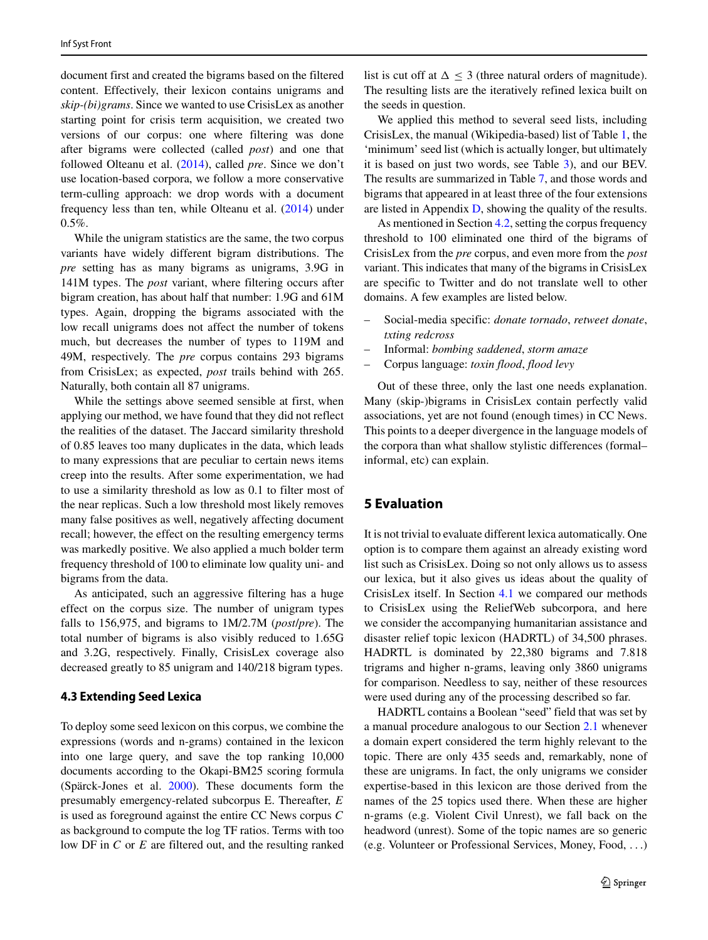document first and created the bigrams based on the filtered content. Effectively, their lexicon contains unigrams and *skip-(bi)grams*. Since we wanted to use CrisisLex as another starting point for crisis term acquisition, we created two versions of our corpus: one where filtering was done after bigrams were collected (called *post*) and one that followed Olteanu et al. [\(2014\)](#page-13-0), called *pre*. Since we don't use location-based corpora, we follow a more conservative term-culling approach: we drop words with a document frequency less than ten, while Olteanu et al. [\(2014\)](#page-13-0) under  $0.5\%$ .

While the unigram statistics are the same, the two corpus variants have widely different bigram distributions. The *pre* setting has as many bigrams as unigrams, 3.9G in 141M types. The *post* variant, where filtering occurs after bigram creation, has about half that number: 1.9G and 61M types. Again, dropping the bigrams associated with the low recall unigrams does not affect the number of tokens much, but decreases the number of types to 119M and 49M, respectively. The *pre* corpus contains 293 bigrams from CrisisLex; as expected, *post* trails behind with 265. Naturally, both contain all 87 unigrams.

While the settings above seemed sensible at first, when applying our method, we have found that they did not reflect the realities of the dataset. The Jaccard similarity threshold of 0.85 leaves too many duplicates in the data, which leads to many expressions that are peculiar to certain news items creep into the results. After some experimentation, we had to use a similarity threshold as low as 0.1 to filter most of the near replicas. Such a low threshold most likely removes many false positives as well, negatively affecting document recall; however, the effect on the resulting emergency terms was markedly positive. We also applied a much bolder term frequency threshold of 100 to eliminate low quality uni- and bigrams from the data.

As anticipated, such an aggressive filtering has a huge effect on the corpus size. The number of unigram types falls to 156,975, and bigrams to 1M/2.7M (*post*/*pre*). The total number of bigrams is also visibly reduced to 1.65G and 3.2G, respectively. Finally, CrisisLex coverage also decreased greatly to 85 unigram and 140/218 bigram types.

#### <span id="page-8-1"></span>**4.3 Extending Seed Lexica**

To deploy some seed lexicon on this corpus, we combine the expressions (words and n-grams) contained in the lexicon into one large query, and save the top ranking 10,000 documents according to the Okapi-BM25 scoring formula (Spärck-Jones et al.  $2000$ ). These documents form the presumably emergency-related subcorpus E. Thereafter, *E* is used as foreground against the entire CC News corpus *C* as background to compute the log TF ratios. Terms with too low DF in *C* or *E* are filtered out, and the resulting ranked

list is cut off at  $\Delta \leq 3$  (three natural orders of magnitude). The resulting lists are the iteratively refined lexica built on the seeds in question.

We applied this method to several seed lists, including CrisisLex, the manual (Wikipedia-based) list of Table [1,](#page-1-1) the 'minimum' seed list (which is actually longer, but ultimately it is based on just two words, see Table [3\)](#page-3-2), and our BEV. The results are summarized in Table [7,](#page-9-0) and those words and bigrams that appeared in at least three of the four extensions are listed in Appendix  $D$ , showing the quality of the results.

As mentioned in Section [4.2,](#page-6-1) setting the corpus frequency threshold to 100 eliminated one third of the bigrams of CrisisLex from the *pre* corpus, and even more from the *post* variant. This indicates that many of the bigrams in CrisisLex are specific to Twitter and do not translate well to other domains. A few examples are listed below.

- Social-media specific: *donate tornado*, *retweet donate*, *txting redcross*
- Informal: *bombing saddened*, *storm amaze*
- Corpus language: *toxin flood*, *flood levy*

Out of these three, only the last one needs explanation. Many (skip-)bigrams in CrisisLex contain perfectly valid associations, yet are not found (enough times) in CC News. This points to a deeper divergence in the language models of the corpora than what shallow stylistic differences (formal– informal, etc) can explain.

### <span id="page-8-0"></span>**5 Evaluation**

It is not trivial to evaluate different lexica automatically. One option is to compare them against an already existing word list such as CrisisLex. Doing so not only allows us to assess our lexica, but it also gives us ideas about the quality of CrisisLex itself. In Section [4.1](#page-6-0) we compared our methods to CrisisLex using the ReliefWeb subcorpora, and here we consider the accompanying humanitarian assistance and disaster relief topic lexicon (HADRTL) of 34,500 phrases. HADRTL is dominated by 22,380 bigrams and 7.818 trigrams and higher n-grams, leaving only 3860 unigrams for comparison. Needless to say, neither of these resources were used during any of the processing described so far.

HADRTL contains a Boolean "seed" field that was set by a manual procedure analogous to our Section [2.1](#page-1-2) whenever a domain expert considered the term highly relevant to the topic. There are only 435 seeds and, remarkably, none of these are unigrams. In fact, the only unigrams we consider expertise-based in this lexicon are those derived from the names of the 25 topics used there. When these are higher n-grams (e.g. Violent Civil Unrest), we fall back on the headword (unrest). Some of the topic names are so generic (e.g. Volunteer or Professional Services, Money, Food, *...*)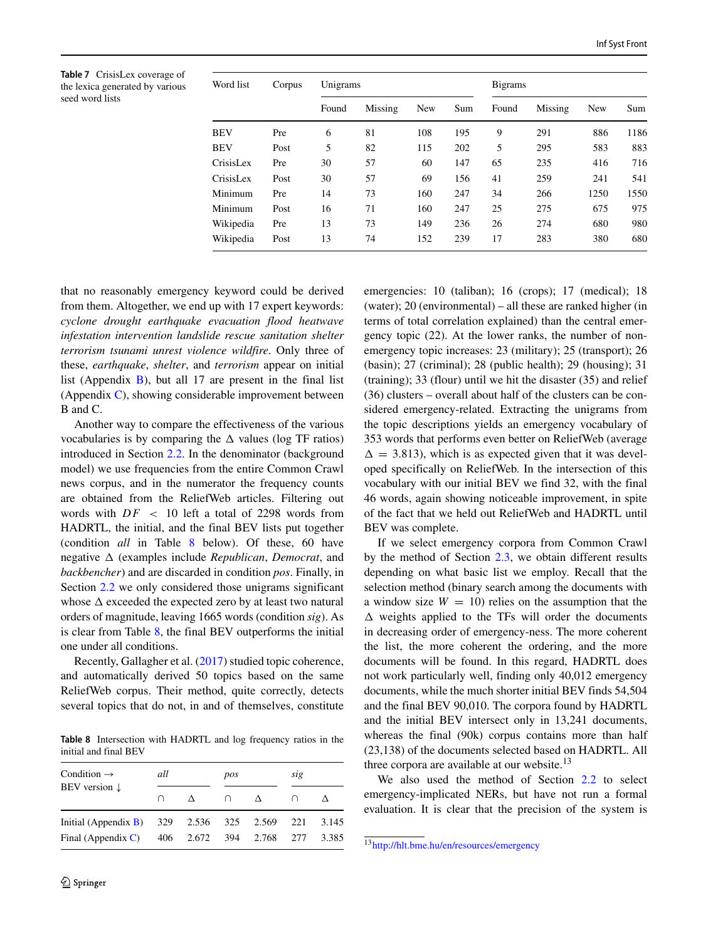<span id="page-9-0"></span>**Table 7** CrisisLex coverage of the lexica generated by various seed word lists

| Word list  | Corpus | Unigrams |         |            |     |       | <b>Bigrams</b> |      |      |  |
|------------|--------|----------|---------|------------|-----|-------|----------------|------|------|--|
|            |        | Found    | Missing | <b>New</b> | Sum | Found | Missing        | New  | Sum  |  |
| <b>BEV</b> | Pre    | 6        | 81      | 108        | 195 | 9     | 291            | 886  | 1186 |  |
| <b>BEV</b> | Post   | 5        | 82      | 115        | 202 | 5     | 295            | 583  | 883  |  |
| CrisisLex  | Pre    | 30       | 57      | 60         | 147 | 65    | 235            | 416  | 716  |  |
| CrisisLex  | Post   | 30       | 57      | 69         | 156 | 41    | 259            | 241  | 541  |  |
| Minimum    | Pre    | 14       | 73      | 160        | 247 | 34    | 266            | 1250 | 1550 |  |
| Minimum    | Post   | 16       | 71      | 160        | 247 | 25    | 275            | 675  | 975  |  |
| Wikipedia  | Pre    | 13       | 73      | 149        | 236 | 26    | 274            | 680  | 980  |  |
| Wikipedia  | Post   | 13       | 74      | 152        | 239 | 17    | 283            | 380  | 680  |  |

that no reasonably emergency keyword could be derived from them. Altogether, we end up with 17 expert keywords: *cyclone drought earthquake evacuation flood heatwave infestation intervention landslide rescue sanitation shelter terrorism tsunami unrest violence wildfire*. Only three of these, *earthquake*, *shelter*, and *terrorism* appear on initial list (Appendix  $\overline{B}$ ), but all 17 are present in the final list (Appendix [C\)](#page-12-0), showing considerable improvement between B and C.

Another way to compare the effectiveness of the various vocabularies is by comparing the  $\Delta$  values (log TF ratios) introduced in Section [2.2.](#page-2-1) In the denominator (background model) we use frequencies from the entire Common Crawl news corpus, and in the numerator the frequency counts are obtained from the ReliefWeb articles. Filtering out words with *DF <* 10 left a total of 2298 words from HADRTL, the initial, and the final BEV lists put together (condition *all* in Table [8](#page-9-1) below). Of these, 60 have negative  $\Delta$  (examples include *Republican*, *Democrat*, and *backbencher*) and are discarded in condition *pos*. Finally, in Section [2.2](#page-2-1) we only considered those unigrams significant whose  $\Delta$  exceeded the expected zero by at least two natural orders of magnitude, leaving 1665 words (condition *sig*). As is clear from Table [8,](#page-9-1) the final BEV outperforms the initial one under all conditions.

Recently, Gallagher et al. [\(2017\)](#page-13-24) studied topic coherence, and automatically derived 50 topics based on the same ReliefWeb corpus. Their method, quite correctly, detects several topics that do not, in and of themselves, constitute

<span id="page-9-1"></span>**Table 8** Intersection with HADRTL and log frequency ratios in the initial and final BEV

| Condition $\rightarrow$                                | all |           |        | pos       |  | sig   |  |
|--------------------------------------------------------|-----|-----------|--------|-----------|--|-------|--|
| BEV version $\downarrow$                               | ∩   | $\Lambda$ | $\cap$ | $\Lambda$ |  | л     |  |
| Initial (Appendix B) $329$ $2.536$ $325$ $2.569$ $221$ |     |           |        |           |  | 3.145 |  |
| Final (Appendix C) $406$ $2.672$ $394$ $2.768$ 277     |     |           |        |           |  | 3.385 |  |

emergencies: 10 (taliban); 16 (crops); 17 (medical); 18 (water); 20 (environmental) – all these are ranked higher (in terms of total correlation explained) than the central emergency topic (22). At the lower ranks, the number of nonemergency topic increases: 23 (military); 25 (transport); 26 (basin); 27 (criminal); 28 (public health); 29 (housing); 31 (training); 33 (flour) until we hit the disaster (35) and relief (36) clusters – overall about half of the clusters can be considered emergency-related. Extracting the unigrams from the topic descriptions yields an emergency vocabulary of 353 words that performs even better on ReliefWeb (average  $\Delta = 3.813$ , which is as expected given that it was developed specifically on ReliefWeb. In the intersection of this vocabulary with our initial BEV we find 32, with the final 46 words, again showing noticeable improvement, in spite of the fact that we held out ReliefWeb and HADRTL until BEV was complete.

If we select emergency corpora from Common Crawl by the method of Section [2.3,](#page-2-0) we obtain different results depending on what basic list we employ. Recall that the selection method (binary search among the documents with a window size  $W = 10$ ) relies on the assumption that the *-* weights applied to the TFs will order the documents in decreasing order of emergency-ness. The more coherent the list, the more coherent the ordering, and the more documents will be found. In this regard, HADRTL does not work particularly well, finding only 40,012 emergency documents, while the much shorter initial BEV finds 54,504 and the final BEV 90,010. The corpora found by HADRTL and the initial BEV intersect only in 13,241 documents, whereas the final (90k) corpus contains more than half (23,138) of the documents selected based on HADRTL. All three corpora are available at our website. $^{13}$ 

We also used the method of Section [2.2](#page-2-1) to select emergency-implicated NERs, but have not run a formal evaluation. It is clear that the precision of the system is

<sup>1</sup>[3http://hlt.bme.hu/en/resources/emergency](http://hlt.bme.hu/en/resources/emergency)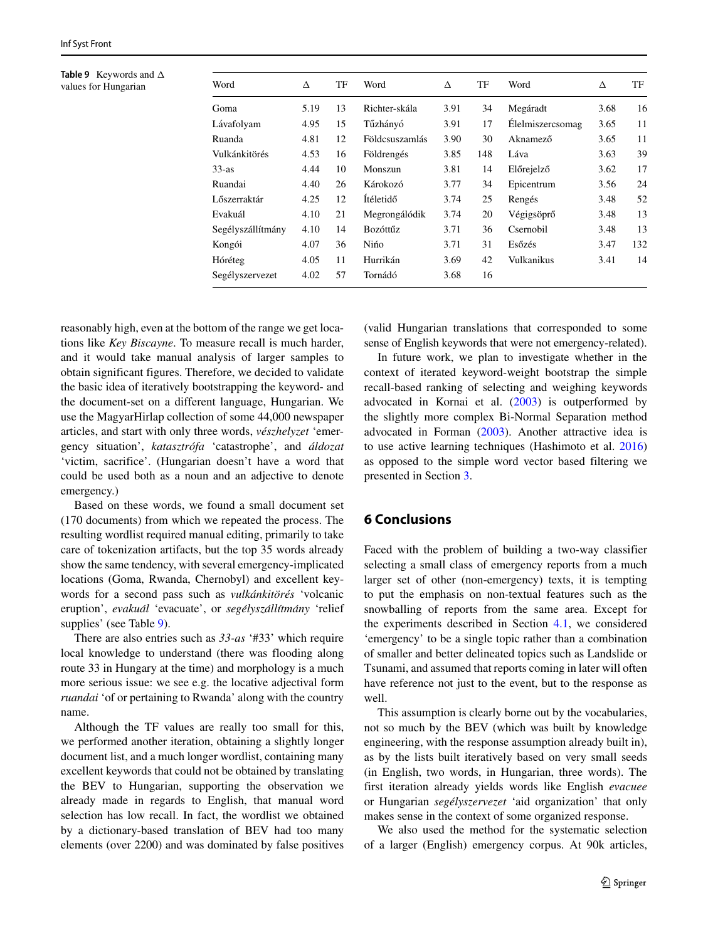<span id="page-10-0"></span>**Table 9** Keywords and  $\Delta$ values for Hungarian

| Word              | Δ    | TF | Word                  | Δ    | TF  | Word             | Δ    | TF  |
|-------------------|------|----|-----------------------|------|-----|------------------|------|-----|
| Goma              | 5.19 | 13 | Richter-skála         | 3.91 | 34  | Megáradt         | 3.68 | 16  |
| Lávafolyam        | 4.95 | 15 | Tűzhányó              | 3.91 | 17  | Élelmiszercsomag | 3.65 | 11  |
| Ruanda            | 4.81 | 12 | <b>Földcsuszamlás</b> | 3.90 | 30  | Aknamező         | 3.65 | 11  |
| Vulkánkitörés     | 4.53 | 16 | Földrengés            | 3.85 | 148 | Láva             | 3.63 | 39  |
| $33$ -as          | 4.44 | 10 | Monszun               | 3.81 | 14  | Előrejelző       | 3.62 | 17  |
| Ruandai           | 4.40 | 26 | Károkozó              | 3.77 | 34  | Epicentrum       | 3.56 | 24  |
| Lőszerraktár      | 4.25 | 12 | Ítéletidő             | 3.74 | 25  | Rengés           | 3.48 | 52  |
| Evakuál           | 4.10 | 21 | Megrongálódik         | 3.74 | 20  | Végigsöprő       | 3.48 | 13  |
| Segélyszállítmány | 4.10 | 14 | <b>Bozóttűz</b>       | 3.71 | 36  | Csernobil        | 3.48 | 13  |
| Kongói            | 4.07 | 36 | Nino                  | 3.71 | 31  | Esőzés           | 3.47 | 132 |
| Hóréteg           | 4.05 | 11 | Hurrikán              | 3.69 | 42  | Vulkanikus       | 3.41 | 14  |
| Segélyszervezet   | 4.02 | 57 | Tornádó               | 3.68 | 16  |                  |      |     |
|                   |      |    |                       |      |     |                  |      |     |

reasonably high, even at the bottom of the range we get locations like *Key Biscayne*. To measure recall is much harder, and it would take manual analysis of larger samples to obtain significant figures. Therefore, we decided to validate the basic idea of iteratively bootstrapping the keyword- and the document-set on a different language, Hungarian. We use the MagyarHirlap collection of some 44,000 newspaper articles, and start with only three words, *vészhelyzet* 'emergency situation', *katasztrofa ´* 'catastrophe', and *aldozat ´* 'victim, sacrifice'. (Hungarian doesn't have a word that could be used both as a noun and an adjective to denote emergency.)

Based on these words, we found a small document set (170 documents) from which we repeated the process. The resulting wordlist required manual editing, primarily to take care of tokenization artifacts, but the top 35 words already show the same tendency, with several emergency-implicated locations (Goma, Rwanda, Chernobyl) and excellent keywords for a second pass such as *vulkánkitörés* 'volcanic eruption', *evakual´* 'evacuate', or *segelysz ´ all ´ ´ıtmany ´* 'relief supplies' (see Table [9\)](#page-10-0).

There are also entries such as *33-as* '#33' which require local knowledge to understand (there was flooding along route 33 in Hungary at the time) and morphology is a much more serious issue: we see e.g. the locative adjectival form *ruandai* 'of or pertaining to Rwanda' along with the country name.

Although the TF values are really too small for this, we performed another iteration, obtaining a slightly longer document list, and a much longer wordlist, containing many excellent keywords that could not be obtained by translating the BEV to Hungarian, supporting the observation we already made in regards to English, that manual word selection has low recall. In fact, the wordlist we obtained by a dictionary-based translation of BEV had too many elements (over 2200) and was dominated by false positives (valid Hungarian translations that corresponded to some sense of English keywords that were not emergency-related).

In future work, we plan to investigate whether in the context of iterated keyword-weight bootstrap the simple recall-based ranking of selecting and weighing keywords advocated in Kornai et al. [\(2003\)](#page-13-11) is outperformed by the slightly more complex Bi-Normal Separation method advocated in Forman [\(2003\)](#page-13-25). Another attractive idea is to use active learning techniques (Hashimoto et al. [2016\)](#page-13-26) as opposed to the simple word vector based filtering we presented in Section [3.](#page-3-0)

### **6 Conclusions**

Faced with the problem of building a two-way classifier selecting a small class of emergency reports from a much larger set of other (non-emergency) texts, it is tempting to put the emphasis on non-textual features such as the snowballing of reports from the same area. Except for the experiments described in Section [4.1,](#page-6-0) we considered 'emergency' to be a single topic rather than a combination of smaller and better delineated topics such as Landslide or Tsunami, and assumed that reports coming in later will often have reference not just to the event, but to the response as well.

This assumption is clearly borne out by the vocabularies, not so much by the BEV (which was built by knowledge engineering, with the response assumption already built in), as by the lists built iteratively based on very small seeds (in English, two words, in Hungarian, three words). The first iteration already yields words like English *evacuee* or Hungarian *segelyszervezet ´* 'aid organization' that only makes sense in the context of some organized response.

We also used the method for the systematic selection of a larger (English) emergency corpus. At 90k articles,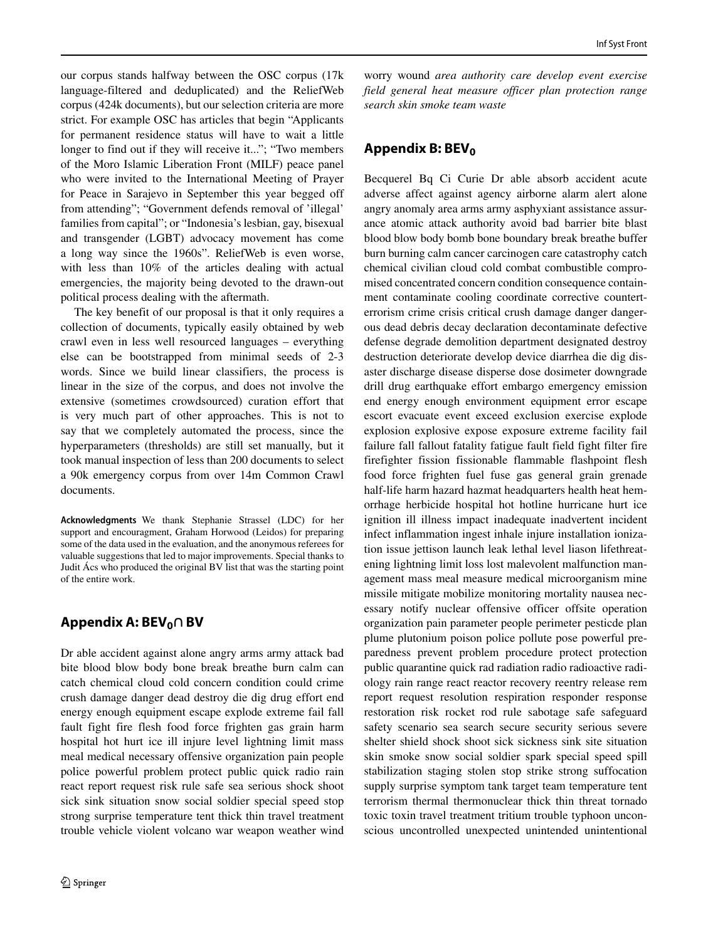our corpus stands halfway between the OSC corpus (17k language-filtered and deduplicated) and the ReliefWeb corpus (424k documents), but our selection criteria are more strict. For example OSC has articles that begin "Applicants for permanent residence status will have to wait a little longer to find out if they will receive it..."; "Two members of the Moro Islamic Liberation Front (MILF) peace panel who were invited to the International Meeting of Prayer for Peace in Sarajevo in September this year begged off from attending"; "Government defends removal of 'illegal' families from capital"; or "Indonesia's lesbian, gay, bisexual and transgender (LGBT) advocacy movement has come a long way since the 1960s". ReliefWeb is even worse, with less than 10% of the articles dealing with actual emergencies, the majority being devoted to the drawn-out political process dealing with the aftermath.

The key benefit of our proposal is that it only requires a collection of documents, typically easily obtained by web crawl even in less well resourced languages – everything else can be bootstrapped from minimal seeds of 2-3 words. Since we build linear classifiers, the process is linear in the size of the corpus, and does not involve the extensive (sometimes crowdsourced) curation effort that is very much part of other approaches. This is not to say that we completely automated the process, since the hyperparameters (thresholds) are still set manually, but it took manual inspection of less than 200 documents to select a 90k emergency corpus from over 14m Common Crawl documents.

**Acknowledgments** We thank Stephanie Strassel (LDC) for her support and encouragment, Graham Horwood (Leidos) for preparing some of the data used in the evaluation, and the anonymous referees for valuable suggestions that led to major improvements. Special thanks to Judit Acs who produced the original BV list that was the starting point ´ of the entire work.

# <span id="page-11-0"></span>**Appendix A: BEV<sub>0</sub>∩ BV**

Dr able accident against alone angry arms army attack bad bite blood blow body bone break breathe burn calm can catch chemical cloud cold concern condition could crime crush damage danger dead destroy die dig drug effort end energy enough equipment escape explode extreme fail fall fault fight fire flesh food force frighten gas grain harm hospital hot hurt ice ill injure level lightning limit mass meal medical necessary offensive organization pain people police powerful problem protect public quick radio rain react report request risk rule safe sea serious shock shoot sick sink situation snow social soldier special speed stop strong surprise temperature tent thick thin travel treatment trouble vehicle violent volcano war weapon weather wind

<span id="page-11-1"></span>worry wound *area authority care develop event exercise field general heat measure officer plan protection range search skin smoke team waste*

## Appendix B: BEV<sub>0</sub>

Becquerel Bq Ci Curie Dr able absorb accident acute adverse affect against agency airborne alarm alert alone angry anomaly area arms army asphyxiant assistance assurance atomic attack authority avoid bad barrier bite blast blood blow body bomb bone boundary break breathe buffer burn burning calm cancer carcinogen care catastrophy catch chemical civilian cloud cold combat combustible compromised concentrated concern condition consequence containment contaminate cooling coordinate corrective counterterrorism crime crisis critical crush damage danger dangerous dead debris decay declaration decontaminate defective defense degrade demolition department designated destroy destruction deteriorate develop device diarrhea die dig disaster discharge disease disperse dose dosimeter downgrade drill drug earthquake effort embargo emergency emission end energy enough environment equipment error escape escort evacuate event exceed exclusion exercise explode explosion explosive expose exposure extreme facility fail failure fall fallout fatality fatigue fault field fight filter fire firefighter fission fissionable flammable flashpoint flesh food force frighten fuel fuse gas general grain grenade half-life harm hazard hazmat headquarters health heat hemorrhage herbicide hospital hot hotline hurricane hurt ice ignition ill illness impact inadequate inadvertent incident infect inflammation ingest inhale injure installation ionization issue jettison launch leak lethal level liason lifethreatening lightning limit loss lost malevolent malfunction management mass meal measure medical microorganism mine missile mitigate mobilize monitoring mortality nausea necessary notify nuclear offensive officer offsite operation organization pain parameter people perimeter pesticde plan plume plutonium poison police pollute pose powerful preparedness prevent problem procedure protect protection public quarantine quick rad radiation radio radioactive radiology rain range react reactor recovery reentry release rem report request resolution respiration responder response restoration risk rocket rod rule sabotage safe safeguard safety scenario sea search secure security serious severe shelter shield shock shoot sick sickness sink site situation skin smoke snow social soldier spark special speed spill stabilization staging stolen stop strike strong suffocation supply surprise symptom tank target team temperature tent terrorism thermal thermonuclear thick thin threat tornado toxic toxin travel treatment tritium trouble typhoon unconscious uncontrolled unexpected unintended unintentional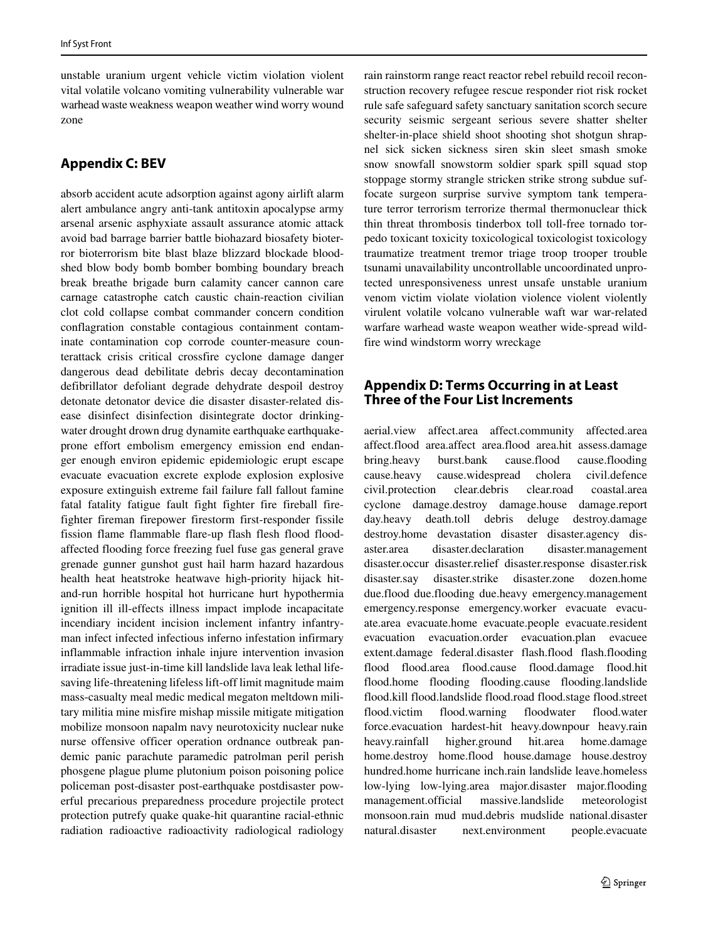unstable uranium urgent vehicle victim violation violent vital volatile volcano vomiting vulnerability vulnerable war warhead waste weakness weapon weather wind worry wound zone

# <span id="page-12-0"></span>**Appendix C: BEV**

absorb accident acute adsorption against agony airlift alarm alert ambulance angry anti-tank antitoxin apocalypse army arsenal arsenic asphyxiate assault assurance atomic attack avoid bad barrage barrier battle biohazard biosafety bioterror bioterrorism bite blast blaze blizzard blockade bloodshed blow body bomb bomber bombing boundary breach break breathe brigade burn calamity cancer cannon care carnage catastrophe catch caustic chain-reaction civilian clot cold collapse combat commander concern condition conflagration constable contagious containment contaminate contamination cop corrode counter-measure counterattack crisis critical crossfire cyclone damage danger dangerous dead debilitate debris decay decontamination defibrillator defoliant degrade dehydrate despoil destroy detonate detonator device die disaster disaster-related disease disinfect disinfection disintegrate doctor drinkingwater drought drown drug dynamite earthquake earthquakeprone effort embolism emergency emission end endanger enough environ epidemic epidemiologic erupt escape evacuate evacuation excrete explode explosion explosive exposure extinguish extreme fail failure fall fallout famine fatal fatality fatigue fault fight fighter fire fireball firefighter fireman firepower firestorm first-responder fissile fission flame flammable flare-up flash flesh flood floodaffected flooding force freezing fuel fuse gas general grave grenade gunner gunshot gust hail harm hazard hazardous health heat heatstroke heatwave high-priority hijack hitand-run horrible hospital hot hurricane hurt hypothermia ignition ill ill-effects illness impact implode incapacitate incendiary incident incision inclement infantry infantryman infect infected infectious inferno infestation infirmary inflammable infraction inhale injure intervention invasion irradiate issue just-in-time kill landslide lava leak lethal lifesaving life-threatening lifeless lift-off limit magnitude maim mass-casualty meal medic medical megaton meltdown military militia mine misfire mishap missile mitigate mitigation mobilize monsoon napalm navy neurotoxicity nuclear nuke nurse offensive officer operation ordnance outbreak pandemic panic parachute paramedic patrolman peril perish phosgene plague plume plutonium poison poisoning police policeman post-disaster post-earthquake postdisaster powerful precarious preparedness procedure projectile protect protection putrefy quake quake-hit quarantine racial-ethnic radiation radioactive radioactivity radiological radiology rain rainstorm range react reactor rebel rebuild recoil reconstruction recovery refugee rescue responder riot risk rocket rule safe safeguard safety sanctuary sanitation scorch secure security seismic sergeant serious severe shatter shelter shelter-in-place shield shoot shooting shot shotgun shrapnel sick sicken sickness siren skin sleet smash smoke snow snowfall snowstorm soldier spark spill squad stop stoppage stormy strangle stricken strike strong subdue suffocate surgeon surprise survive symptom tank temperature terror terrorism terrorize thermal thermonuclear thick thin threat thrombosis tinderbox toll toll-free tornado torpedo toxicant toxicity toxicological toxicologist toxicology traumatize treatment tremor triage troop trooper trouble tsunami unavailability uncontrollable uncoordinated unprotected unresponsiveness unrest unsafe unstable uranium venom victim violate violation violence violent violently virulent volatile volcano vulnerable waft war war-related warfare warhead waste weapon weather wide-spread wildfire wind windstorm worry wreckage

## <span id="page-12-1"></span>**Appendix D: Terms Occurring in at Least Three of the Four List Increments**

aerial.view affect.area affect.community affected.area affect.flood area.affect area.flood area.hit assess.damage bring.heavy burst.bank cause.flood cause.flooding cause.heavy cause.widespread cholera civil.defence civil.protection clear.debris clear.road coastal.area cyclone damage.destroy damage.house damage.report day.heavy death.toll debris deluge destroy.damage destroy.home devastation disaster disaster.agency disaster.area disaster.declaration disaster.management disaster.occur disaster.relief disaster.response disaster.risk disaster.say disaster.strike disaster.zone dozen.home due.flood due.flooding due.heavy emergency.management emergency.response emergency.worker evacuate evacuate.area evacuate.home evacuate.people evacuate.resident evacuation evacuation.order evacuation.plan evacuee extent.damage federal.disaster flash.flood flash.flooding flood flood.area flood.cause flood.damage flood.hit flood.home flooding flooding.cause flooding.landslide flood.kill flood.landslide flood.road flood.stage flood.street flood.victim flood.warning floodwater flood.water force.evacuation hardest-hit heavy.downpour heavy.rain heavy.rainfall higher.ground hit.area home.damage home.destroy home.flood house.damage house.destroy hundred.home hurricane inch.rain landslide leave.homeless low-lying low-lying.area major.disaster major.flooding management.official massive.landslide meteorologist monsoon.rain mud mud.debris mudslide national.disaster natural.disaster next.environment people.evacuate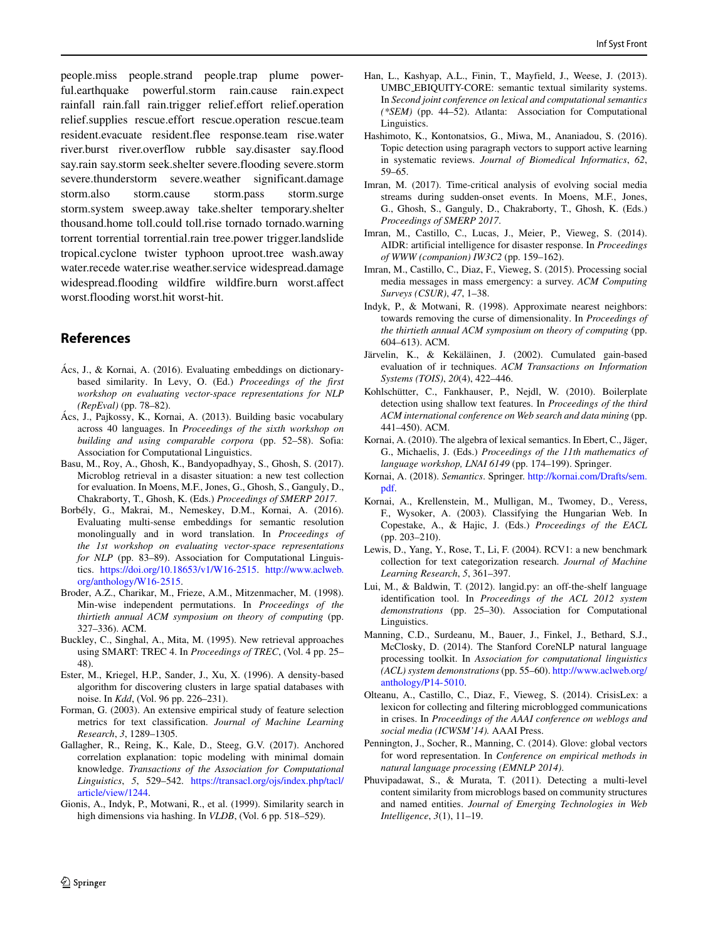Inf Syst Front

people.miss people.strand people.trap plume powerful.earthquake powerful.storm rain.cause rain.expect rainfall rain.fall rain.trigger relief.effort relief.operation relief.supplies rescue.effort rescue.operation rescue.team resident.evacuate resident.flee response.team rise.water river.burst river.overflow rubble say.disaster say.flood say.rain say.storm seek.shelter severe.flooding severe.storm severe.thunderstorm severe.weather significant.damage storm.also storm.cause storm.pass storm.surge storm.system sweep.away take.shelter temporary.shelter thousand.home toll.could toll.rise tornado tornado.warning torrent torrential torrential.rain tree.power trigger.landslide tropical.cyclone twister typhoon uproot.tree wash.away water.recede water.rise weather.service widespread.damage widespread.flooding wildfire wildfire.burn worst.affect worst.flooding worst.hit worst-hit.

# **References**

- <span id="page-13-17"></span>Acs, J., & Kornai, A. (2016). Evaluating embeddings on dictionary- ´ based similarity. In Levy, O. (Ed.) *Proceedings of the first workshop on evaluating vector-space representations for NLP (RepEval)* (pp. 78–82).
- <span id="page-13-8"></span>Acs, J., Pajkossy, K., Kornai, A. (2013). Building basic vocabulary ´ across 40 languages. In *Proceedings of the sixth workshop on building and using comparable corpora* (pp. 52–58). Sofia: Association for Computational Linguistics.
- <span id="page-13-1"></span>Basu, M., Roy, A., Ghosh, K., Bandyopadhyay, S., Ghosh, S. (2017). Microblog retrieval in a disaster situation: a new test collection for evaluation. In Moens, M.F., Jones, G., Ghosh, S., Ganguly, D., Chakraborty, T., Ghosh, K. (Eds.) *Proceedings of SMERP 2017*.
- <span id="page-13-16"></span>Borbély, G., Makrai, M., Nemeskey, D.M., Kornai, A. (2016). Evaluating multi-sense embeddings for semantic resolution monolingually and in word translation. In *Proceedings of the 1st workshop on evaluating vector-space representations for NLP* (pp. 83–89). Association for Computational Linguistics. [https://doi.org/10.18653/v1/W16-2515.](https://doi.org/10.18653/v1/W16-2515) [http://www.aclweb.](http://www.aclweb.org/anthology/W16-2515) [org/anthology/W16-2515.](http://www.aclweb.org/anthology/W16-2515)
- <span id="page-13-21"></span>Broder, A.Z., Charikar, M., Frieze, A.M., Mitzenmacher, M. (1998). Min-wise independent permutations. In *Proceedings of the thirtieth annual ACM symposium on theory of computing* (pp. 327–336). ACM.
- <span id="page-13-5"></span>Buckley, C., Singhal, A., Mita, M. (1995). New retrieval approaches using SMART: TREC 4. In *Proceedings of TREC*, (Vol. 4 pp. 25– 48).
- <span id="page-13-14"></span>Ester, M., Kriegel, H.P., Sander, J., Xu, X. (1996). A density-based algorithm for discovering clusters in large spatial databases with noise. In *Kdd*, (Vol. 96 pp. 226–231).
- <span id="page-13-25"></span>Forman, G. (2003). An extensive empirical study of feature selection metrics for text classification. *Journal of Machine Learning Research*, *3*, 1289–1305.
- <span id="page-13-24"></span>Gallagher, R., Reing, K., Kale, D., Steeg, G.V. (2017). Anchored correlation explanation: topic modeling with minimal domain knowledge. *Transactions of the Association for Computational Linguistics*, *5*, 529–542. [https://transacl.org/ojs/index.php/tacl/](https://transacl.org/ojs/index.php/tacl/article/view/1244) [article/view/1244.](https://transacl.org/ojs/index.php/tacl/article/view/1244)
- <span id="page-13-22"></span>Gionis, A., Indyk, P., Motwani, R., et al. (1999). Similarity search in high dimensions via hashing. In *VLDB*, (Vol. 6 pp. 518–529).
- <span id="page-13-26"></span><span id="page-13-18"></span>In *Second joint conference on lexical and computational semantics (\*SEM)* (pp. 44–52). Atlanta: Association for Computational Linguistics. Hashimoto, K., Kontonatsios, G., Miwa, M., Ananiadou, S. (2016). Topic detection using paragraph vectors to support active learning in systematic reviews. *Journal of Biomedical Informatics*, *62*,
- <span id="page-13-7"></span>Imran, M. (2017). Time-critical analysis of evolving social media streams during sudden-onset events. In Moens, M.F., Jones, G., Ghosh, S., Ganguly, D., Chakraborty, T., Ghosh, K. (Eds.) *Proceedings of SMERP 2017*.

59–65.

- <span id="page-13-6"></span>Imran, M., Castillo, C., Lucas, J., Meier, P., Vieweg, S. (2014). AIDR: artificial intelligence for disaster response. In *Proceedings of WWW (companion) IW3C2* (pp. 159–162).
- <span id="page-13-2"></span>Imran, M., Castillo, C., Diaz, F., Vieweg, S. (2015). Processing social media messages in mass emergency: a survey. *ACM Computing Surveys (CSUR)*, *47*, 1–38.
- <span id="page-13-23"></span>Indyk, P., & Motwani, R. (1998). Approximate nearest neighbors: towards removing the curse of dimensionality. In *Proceedings of the thirtieth annual ACM symposium on theory of computing* (pp. 604–613). ACM.
- <span id="page-13-15"></span>Järvelin, K., & Kekäläinen, J. (2002). Cumulated gain-based evaluation of ir techniques. *ACM Transactions on Information Systems (TOIS)*, *20*(4), 422–446.
- <span id="page-13-19"></span>Kohlschütter, C., Fankhauser, P., Nejdl, W. (2010). Boilerplate detection using shallow text features. In *Proceedings of the third ACM international conference on Web search and data mining* (pp. 441–450). ACM.
- <span id="page-13-10"></span>Kornai, A. (2010). The algebra of lexical semantics. In Ebert, C., Jäger, G., Michaelis, J. (Eds.) *Proceedings of the 11th mathematics of language workshop, LNAI 6149* (pp. 174–199). Springer.
- <span id="page-13-9"></span>Kornai, A. (2018). *Semantics*. Springer. [http://kornai.com/Drafts/sem.](http://kornai.com/Drafts/sem.pdf) [pdf.](http://kornai.com/Drafts/sem.pdf)
- <span id="page-13-11"></span>Kornai, A., Krellenstein, M., Mulligan, M., Twomey, D., Veress, F., Wysoker, A. (2003). Classifying the Hungarian Web. In Copestake, A., & Hajic, J. (Eds.) *Proceedings of the EACL* (pp. 203–210).
- <span id="page-13-3"></span>Lewis, D., Yang, Y., Rose, T., Li, F. (2004). RCV1: a new benchmark collection for text categorization research. *Journal of Machine Learning Research*, *5*, 361–397.
- <span id="page-13-20"></span>Lui, M., & Baldwin, T. (2012). langid.py: an off-the-shelf language identification tool. In *Proceedings of the ACL 2012 system demonstrations* (pp. 25–30). Association for Computational Linguistics.
- <span id="page-13-12"></span>Manning, C.D., Surdeanu, M., Bauer, J., Finkel, J., Bethard, S.J., McClosky, D. (2014). The Stanford CoreNLP natural language processing toolkit. In *Association for computational linguistics (ACL) system demonstrations* (pp. 55–60). [http://www.aclweb.org/](http://www.aclweb.org/anthology/P14-5010) [anthology/P14-5010.](http://www.aclweb.org/anthology/P14-5010)
- <span id="page-13-0"></span>Olteanu, A., Castillo, C., Diaz, F., Vieweg, S. (2014). CrisisLex: a lexicon for collecting and filtering microblogged communications in crises. In *Proceedings of the AAAI conference on weblogs and social media (ICWSM'14).* AAAI Press.
- <span id="page-13-13"></span>Pennington, J., Socher, R., Manning, C. (2014). Glove: global vectors for word representation. In *Conference on empirical methods in natural language processing (EMNLP 2014)*.
- <span id="page-13-4"></span>Phuvipadawat, S., & Murata, T. (2011). Detecting a multi-level content similarity from microblogs based on community structures and named entities. *Journal of Emerging Technologies in Web Intelligence*, *3*(1), 11–19.